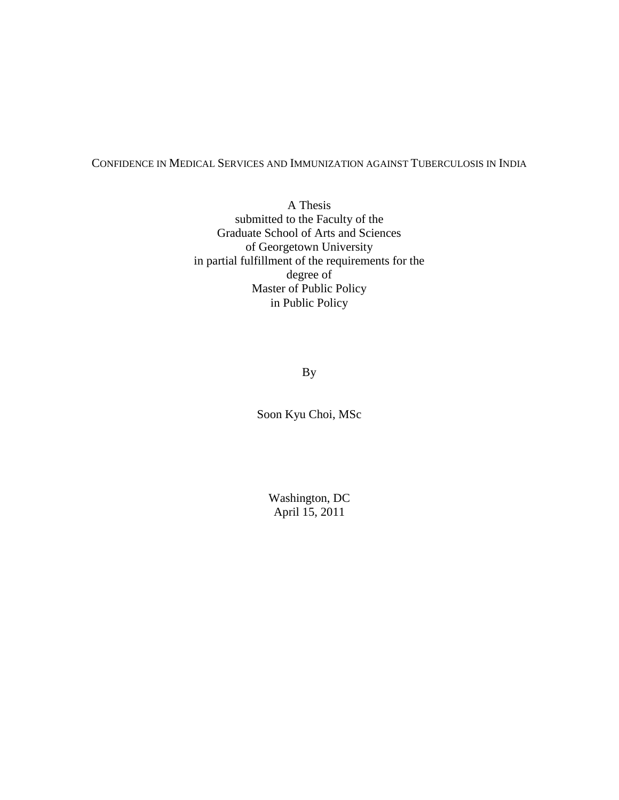## CONFIDENCE IN MEDICAL SERVICES AND IMMUNIZATION AGAINST TUBERCULOSIS IN INDIA

A Thesis submitted to the Faculty of the Graduate School of Arts and Sciences of Georgetown University in partial fulfillment of the requirements for the degree of Master of Public Policy in Public Policy

By

Soon Kyu Choi, MSc

Washington, DC April 15, 2011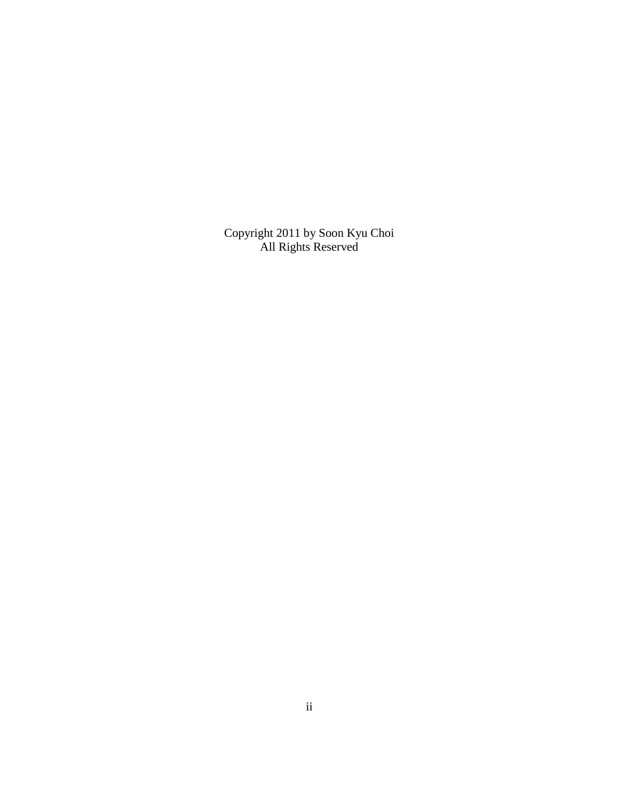Copyright 2011 by Soon Kyu Choi All Rights Reserved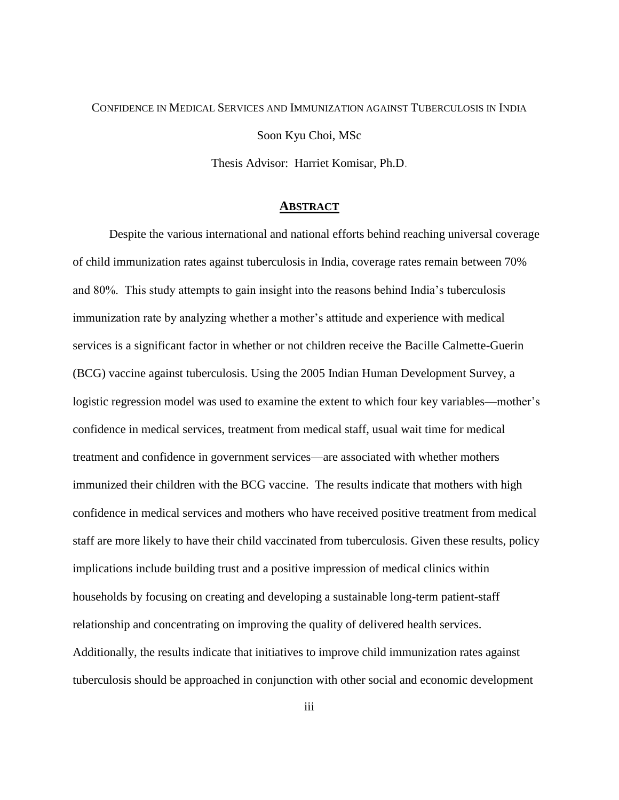# CONFIDENCE IN MEDICAL SERVICES AND IMMUNIZATION AGAINST TUBERCULOSIS IN INDIA

Soon Kyu Choi, MSc

Thesis Advisor: Harriet Komisar, Ph.D.

#### **ABSTRACT**

Despite the various international and national efforts behind reaching universal coverage of child immunization rates against tuberculosis in India, coverage rates remain between 70% and 80%. This study attempts to gain insight into the reasons behind India's tuberculosis immunization rate by analyzing whether a mother's attitude and experience with medical services is a significant factor in whether or not children receive the Bacille Calmette-Guerin (BCG) vaccine against tuberculosis. Using the 2005 Indian Human Development Survey, a logistic regression model was used to examine the extent to which four key variables—mother's confidence in medical services, treatment from medical staff, usual wait time for medical treatment and confidence in government services—are associated with whether mothers immunized their children with the BCG vaccine. The results indicate that mothers with high confidence in medical services and mothers who have received positive treatment from medical staff are more likely to have their child vaccinated from tuberculosis. Given these results, policy implications include building trust and a positive impression of medical clinics within households by focusing on creating and developing a sustainable long-term patient-staff relationship and concentrating on improving the quality of delivered health services. Additionally, the results indicate that initiatives to improve child immunization rates against tuberculosis should be approached in conjunction with other social and economic development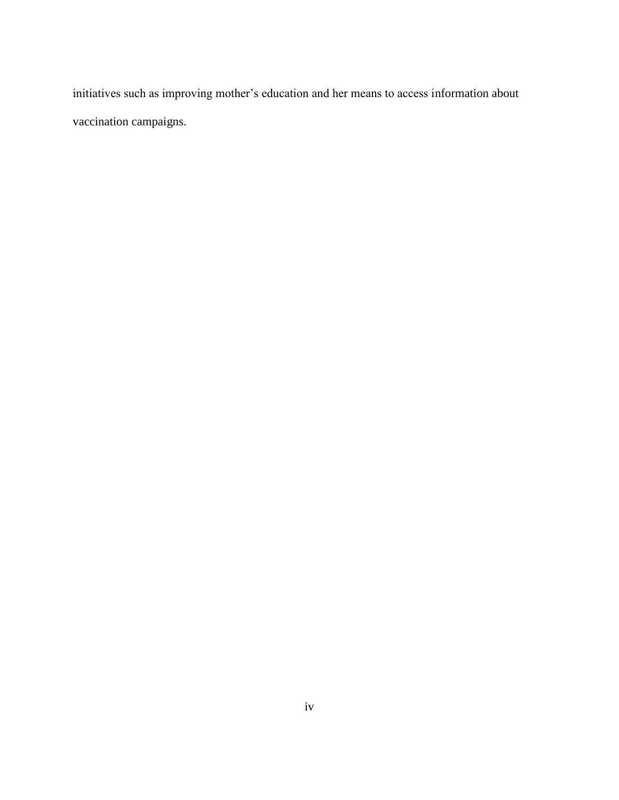initiatives such as improving mother's education and her means to access information about vaccination campaigns.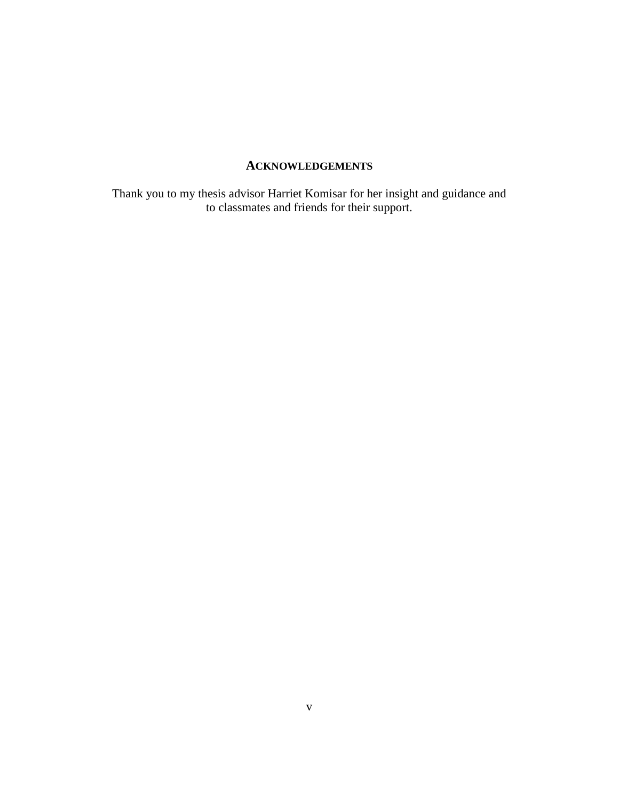# **ACKNOWLEDGEMENTS**

Thank you to my thesis advisor Harriet Komisar for her insight and guidance and to classmates and friends for their support.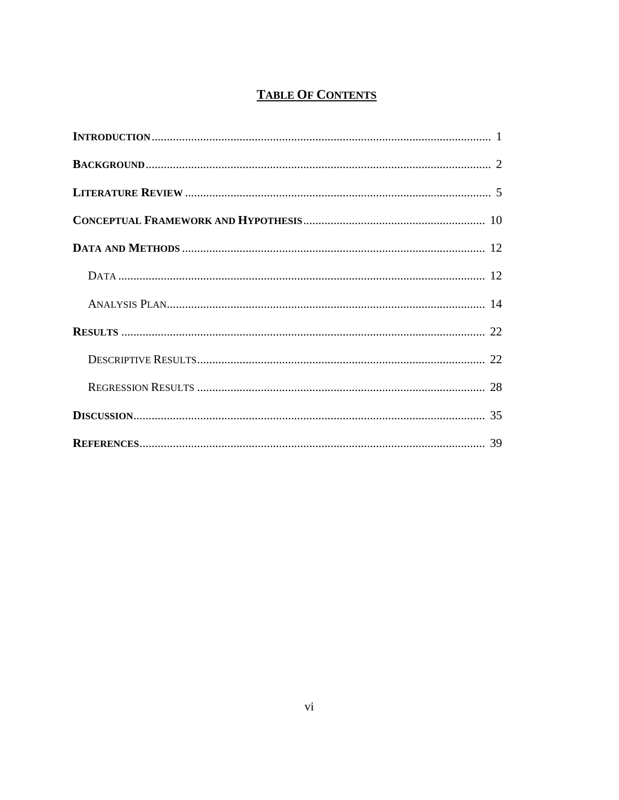# **TABLE OF CONTENTS**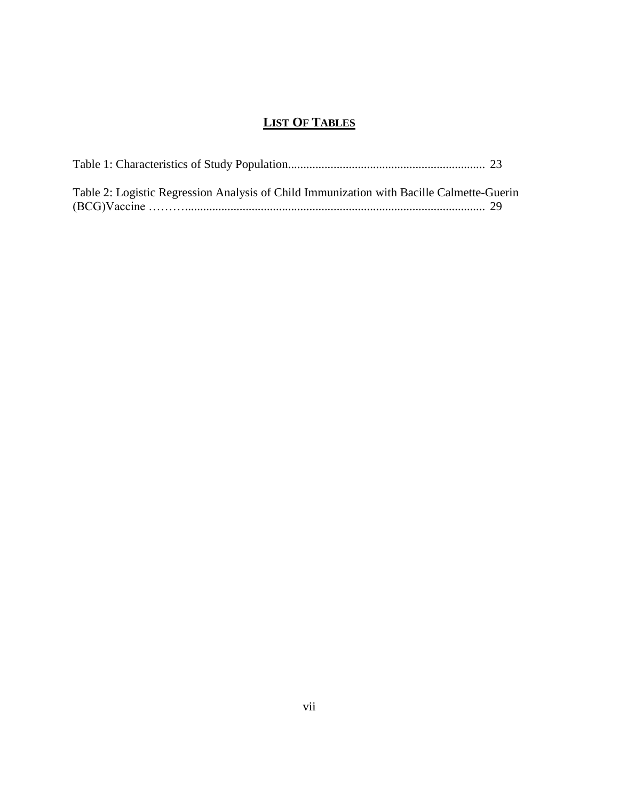# **LIST OF TABLES**

| Table 2: Logistic Regression Analysis of Child Immunization with Bacille Calmette-Guerin |  |
|------------------------------------------------------------------------------------------|--|
|                                                                                          |  |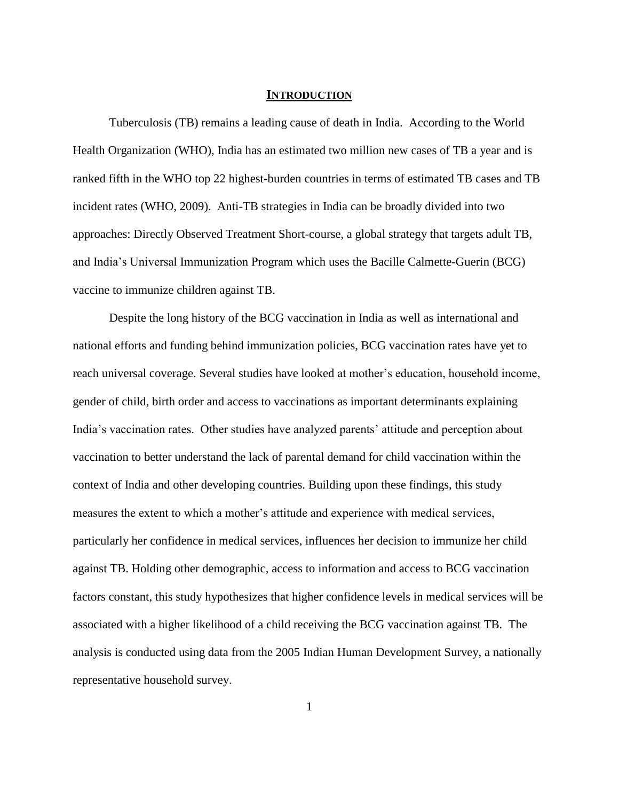#### **INTRODUCTION**

Tuberculosis (TB) remains a leading cause of death in India. According to the World Health Organization (WHO), India has an estimated two million new cases of TB a year and is ranked fifth in the WHO top 22 highest-burden countries in terms of estimated TB cases and TB incident rates (WHO, 2009). Anti-TB strategies in India can be broadly divided into two approaches: Directly Observed Treatment Short-course, a global strategy that targets adult TB, and India's Universal Immunization Program which uses the Bacille Calmette-Guerin (BCG) vaccine to immunize children against TB.

Despite the long history of the BCG vaccination in India as well as international and national efforts and funding behind immunization policies, BCG vaccination rates have yet to reach universal coverage. Several studies have looked at mother's education, household income, gender of child, birth order and access to vaccinations as important determinants explaining India's vaccination rates. Other studies have analyzed parents' attitude and perception about vaccination to better understand the lack of parental demand for child vaccination within the context of India and other developing countries. Building upon these findings, this study measures the extent to which a mother's attitude and experience with medical services, particularly her confidence in medical services, influences her decision to immunize her child against TB. Holding other demographic, access to information and access to BCG vaccination factors constant, this study hypothesizes that higher confidence levels in medical services will be associated with a higher likelihood of a child receiving the BCG vaccination against TB. The analysis is conducted using data from the 2005 Indian Human Development Survey, a nationally representative household survey.

1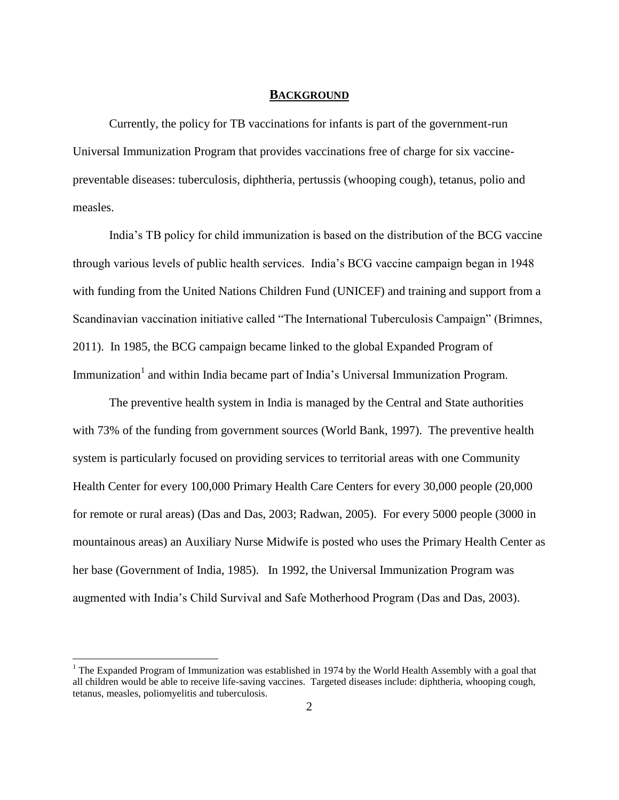#### **BACKGROUND**

Currently, the policy for TB vaccinations for infants is part of the government-run Universal Immunization Program that provides vaccinations free of charge for six vaccinepreventable diseases: tuberculosis, diphtheria, pertussis (whooping cough), tetanus, polio and measles.

India's TB policy for child immunization is based on the distribution of the BCG vaccine through various levels of public health services. India's BCG vaccine campaign began in 1948 with funding from the United Nations Children Fund (UNICEF) and training and support from a Scandinavian vaccination initiative called "The International Tuberculosis Campaign" (Brimnes, 2011). In 1985, the BCG campaign became linked to the global Expanded Program of Immunization<sup>1</sup> and within India became part of India's Universal Immunization Program.

The preventive health system in India is managed by the Central and State authorities with 73% of the funding from government sources (World Bank, 1997). The preventive health system is particularly focused on providing services to territorial areas with one Community Health Center for every 100,000 Primary Health Care Centers for every 30,000 people (20,000 for remote or rural areas) (Das and Das, 2003; Radwan, 2005). For every 5000 people (3000 in mountainous areas) an Auxiliary Nurse Midwife is posted who uses the Primary Health Center as her base (Government of India, 1985). In 1992, the Universal Immunization Program was augmented with India's Child Survival and Safe Motherhood Program (Das and Das, 2003).

 $\overline{a}$ 

<sup>&</sup>lt;sup>1</sup> The Expanded Program of Immunization was established in 1974 by the World Health Assembly with a goal that all children would be able to receive life-saving vaccines. Targeted diseases include: diphtheria, whooping cough, tetanus, measles, poliomyelitis and tuberculosis.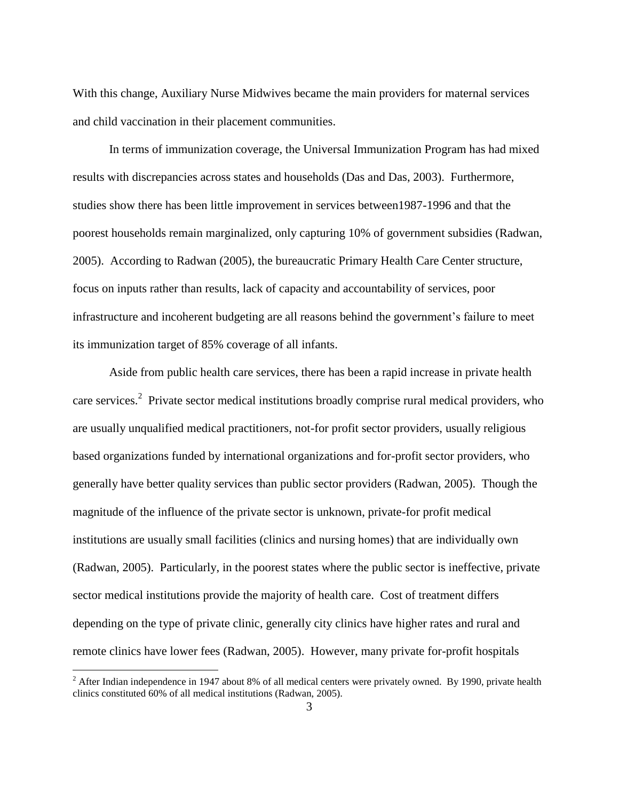With this change, Auxiliary Nurse Midwives became the main providers for maternal services and child vaccination in their placement communities.

In terms of immunization coverage, the Universal Immunization Program has had mixed results with discrepancies across states and households (Das and Das, 2003). Furthermore, studies show there has been little improvement in services between1987-1996 and that the poorest households remain marginalized, only capturing 10% of government subsidies (Radwan, 2005). According to Radwan (2005), the bureaucratic Primary Health Care Center structure, focus on inputs rather than results, lack of capacity and accountability of services, poor infrastructure and incoherent budgeting are all reasons behind the government's failure to meet its immunization target of 85% coverage of all infants.

Aside from public health care services, there has been a rapid increase in private health care services.<sup>2</sup> Private sector medical institutions broadly comprise rural medical providers, who are usually unqualified medical practitioners, not-for profit sector providers, usually religious based organizations funded by international organizations and for-profit sector providers, who generally have better quality services than public sector providers (Radwan, 2005). Though the magnitude of the influence of the private sector is unknown, private-for profit medical institutions are usually small facilities (clinics and nursing homes) that are individually own (Radwan, 2005). Particularly, in the poorest states where the public sector is ineffective, private sector medical institutions provide the majority of health care. Cost of treatment differs depending on the type of private clinic, generally city clinics have higher rates and rural and remote clinics have lower fees (Radwan, 2005). However, many private for-profit hospitals

 $\overline{a}$ 

 $2$  After Indian independence in 1947 about 8% of all medical centers were privately owned. By 1990, private health clinics constituted 60% of all medical institutions (Radwan, 2005).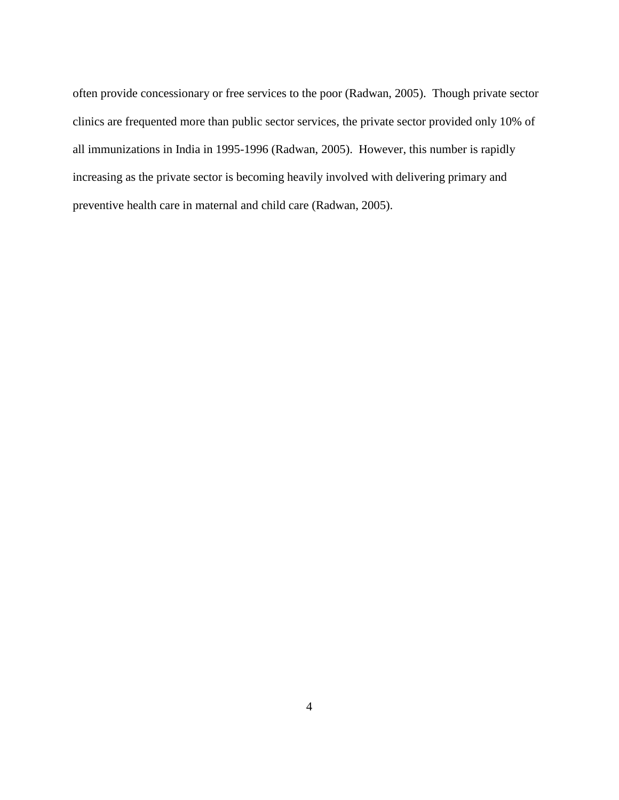often provide concessionary or free services to the poor (Radwan, 2005). Though private sector clinics are frequented more than public sector services, the private sector provided only 10% of all immunizations in India in 1995-1996 (Radwan, 2005). However, this number is rapidly increasing as the private sector is becoming heavily involved with delivering primary and preventive health care in maternal and child care (Radwan, 2005).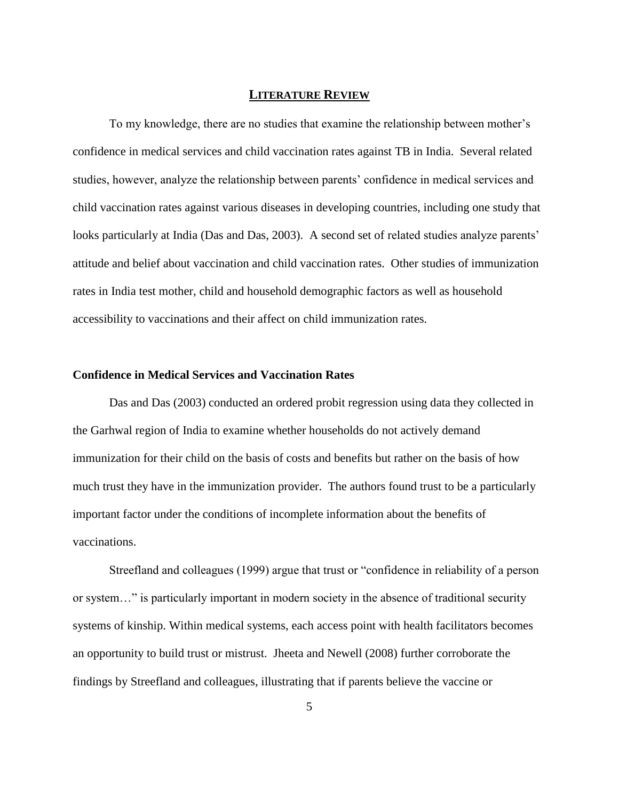## **LITERATURE REVIEW**

To my knowledge, there are no studies that examine the relationship between mother's confidence in medical services and child vaccination rates against TB in India. Several related studies, however, analyze the relationship between parents' confidence in medical services and child vaccination rates against various diseases in developing countries, including one study that looks particularly at India (Das and Das, 2003). A second set of related studies analyze parents' attitude and belief about vaccination and child vaccination rates. Other studies of immunization rates in India test mother, child and household demographic factors as well as household accessibility to vaccinations and their affect on child immunization rates.

## **Confidence in Medical Services and Vaccination Rates**

Das and Das (2003) conducted an ordered probit regression using data they collected in the Garhwal region of India to examine whether households do not actively demand immunization for their child on the basis of costs and benefits but rather on the basis of how much trust they have in the immunization provider. The authors found trust to be a particularly important factor under the conditions of incomplete information about the benefits of vaccinations.

Streefland and colleagues (1999) argue that trust or "confidence in reliability of a person or system..." is particularly important in modern society in the absence of traditional security systems of kinship. Within medical systems, each access point with health facilitators becomes an opportunity to build trust or mistrust. Jheeta and Newell (2008) further corroborate the findings by Streefland and colleagues, illustrating that if parents believe the vaccine or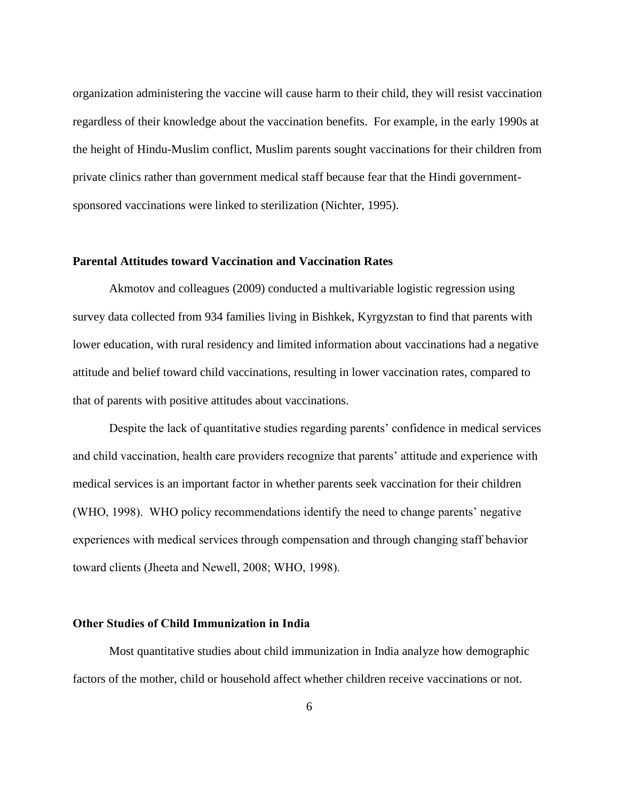organization administering the vaccine will cause harm to their child, they will resist vaccination regardless of their knowledge about the vaccination benefits. For example, in the early 1990s at the height of Hindu-Muslim conflict, Muslim parents sought vaccinations for their children from private clinics rather than government medical staff because fear that the Hindi governmentsponsored vaccinations were linked to sterilization (Nichter, 1995).

## **Parental Attitudes toward Vaccination and Vaccination Rates**

Akmotov and colleagues (2009) conducted a multivariable logistic regression using survey data collected from 934 families living in Bishkek, Kyrgyzstan to find that parents with lower education, with rural residency and limited information about vaccinations had a negative attitude and belief toward child vaccinations, resulting in lower vaccination rates, compared to that of parents with positive attitudes about vaccinations.

Despite the lack of quantitative studies regarding parents' confidence in medical services and child vaccination, health care providers recognize that parents' attitude and experience with medical services is an important factor in whether parents seek vaccination for their children (WHO, 1998). WHO policy recommendations identify the need to change parents' negative experiences with medical services through compensation and through changing staff behavior toward clients (Jheeta and Newell, 2008; WHO, 1998).

## **Other Studies of Child Immunization in India**

Most quantitative studies about child immunization in India analyze how demographic factors of the mother, child or household affect whether children receive vaccinations or not.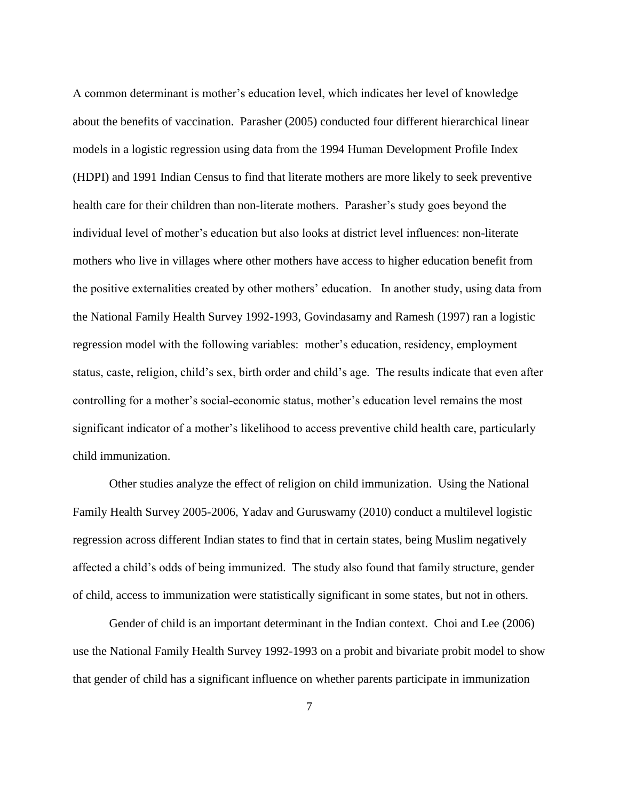A common determinant is mother's education level, which indicates her level of knowledge about the benefits of vaccination. Parasher (2005) conducted four different hierarchical linear models in a logistic regression using data from the 1994 Human Development Profile Index (HDPI) and 1991 Indian Census to find that literate mothers are more likely to seek preventive health care for their children than non-literate mothers. Parasher's study goes beyond the individual level of mother's education but also looks at district level influences: non-literate mothers who live in villages where other mothers have access to higher education benefit from the positive externalities created by other mothers' education. In another study, using data from the National Family Health Survey 1992-1993, Govindasamy and Ramesh (1997) ran a logistic regression model with the following variables: mother's education, residency, employment status, caste, religion, child's sex, birth order and child's age. The results indicate that even after controlling for a mother's social-economic status, mother's education level remains the most significant indicator of a mother's likelihood to access preventive child health care, particularly child immunization.

Other studies analyze the effect of religion on child immunization. Using the National Family Health Survey 2005-2006, Yadav and Guruswamy (2010) conduct a multilevel logistic regression across different Indian states to find that in certain states, being Muslim negatively affected a child's odds of being immunized. The study also found that family structure, gender of child, access to immunization were statistically significant in some states, but not in others.

Gender of child is an important determinant in the Indian context. Choi and Lee (2006) use the National Family Health Survey 1992-1993 on a probit and bivariate probit model to show that gender of child has a significant influence on whether parents participate in immunization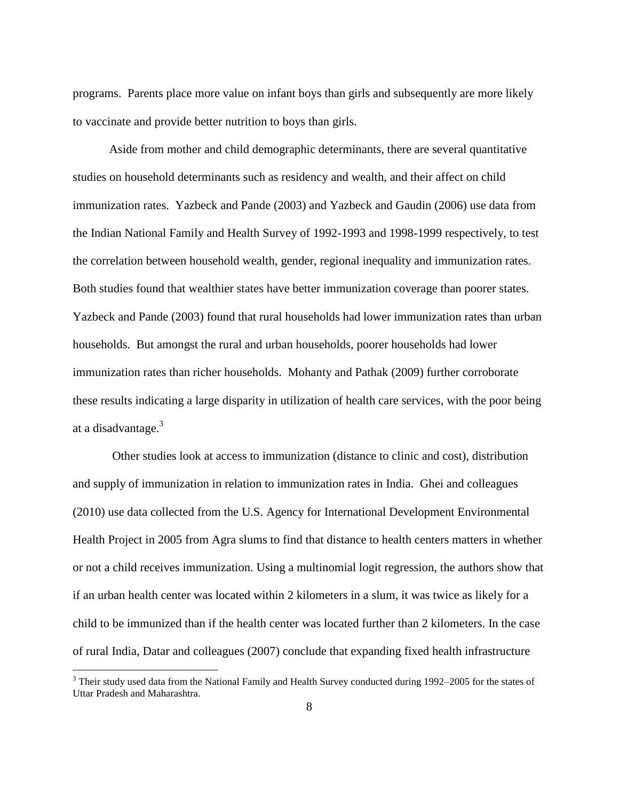programs. Parents place more value on infant boys than girls and subsequently are more likely to vaccinate and provide better nutrition to boys than girls.

Aside from mother and child demographic determinants, there are several quantitative studies on household determinants such as residency and wealth, and their affect on child immunization rates. Yazbeck and Pande (2003) and Yazbeck and Gaudin (2006) use data from the Indian National Family and Health Survey of 1992-1993 and 1998-1999 respectively, to test the correlation between household wealth, gender, regional inequality and immunization rates. Both studies found that wealthier states have better immunization coverage than poorer states. Yazbeck and Pande (2003) found that rural households had lower immunization rates than urban households. But amongst the rural and urban households, poorer households had lower immunization rates than richer households. Mohanty and Pathak (2009) further corroborate these results indicating a large disparity in utilization of health care services, with the poor being at a disadvantage.<sup>3</sup>

Other studies look at access to immunization (distance to clinic and cost), distribution and supply of immunization in relation to immunization rates in India. Ghei and colleagues (2010) use data collected from the U.S. Agency for International Development Environmental Health Project in 2005 from Agra slums to find that distance to health centers matters in whether or not a child receives immunization. Using a multinomial logit regression, the authors show that if an urban health center was located within 2 kilometers in a slum, it was twice as likely for a child to be immunized than if the health center was located further than 2 kilometers. In the case of rural India, Datar and colleagues (2007) conclude that expanding fixed health infrastructure

 $\overline{a}$ 

 $3$  Their study used data from the National Family and Health Survey conducted during 1992–2005 for the states of Uttar Pradesh and Maharashtra.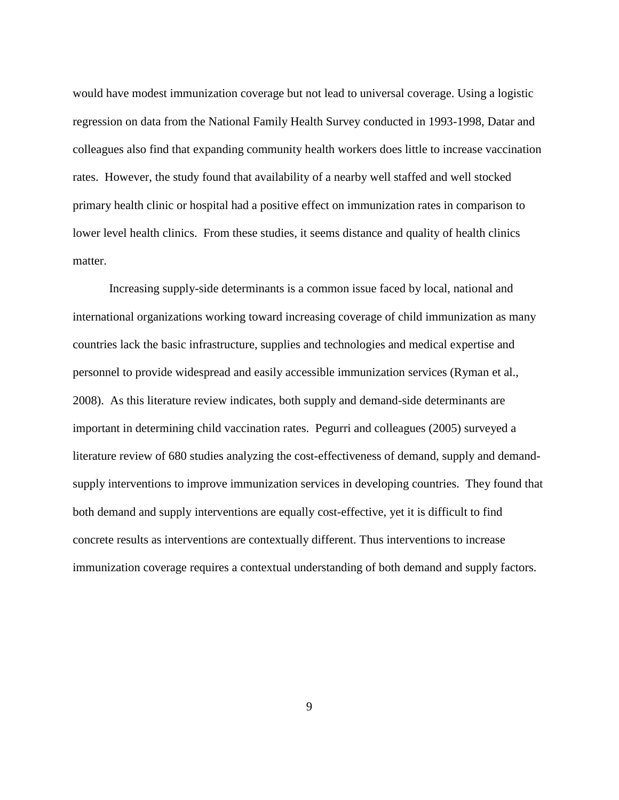would have modest immunization coverage but not lead to universal coverage. Using a logistic regression on data from the National Family Health Survey conducted in 1993-1998, Datar and colleagues also find that expanding community health workers does little to increase vaccination rates. However, the study found that availability of a nearby well staffed and well stocked primary health clinic or hospital had a positive effect on immunization rates in comparison to lower level health clinics. From these studies, it seems distance and quality of health clinics matter.

Increasing supply-side determinants is a common issue faced by local, national and international organizations working toward increasing coverage of child immunization as many countries lack the basic infrastructure, supplies and technologies and medical expertise and personnel to provide widespread and easily accessible immunization services (Ryman et al., 2008). As this literature review indicates, both supply and demand-side determinants are important in determining child vaccination rates. Pegurri and colleagues (2005) surveyed a literature review of 680 studies analyzing the cost-effectiveness of demand, supply and demandsupply interventions to improve immunization services in developing countries. They found that both demand and supply interventions are equally cost-effective, yet it is difficult to find concrete results as interventions are contextually different. Thus interventions to increase immunization coverage requires a contextual understanding of both demand and supply factors.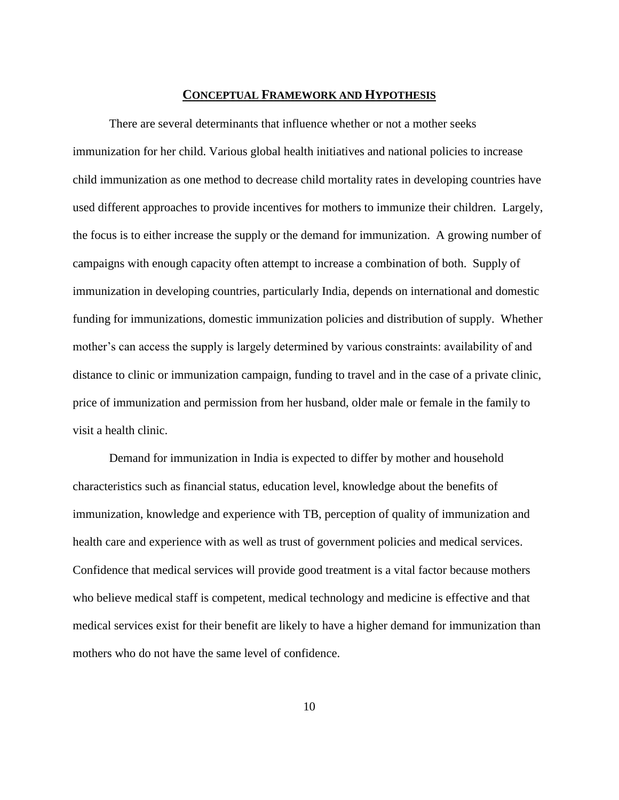#### **CONCEPTUAL FRAMEWORK AND HYPOTHESIS**

There are several determinants that influence whether or not a mother seeks immunization for her child. Various global health initiatives and national policies to increase child immunization as one method to decrease child mortality rates in developing countries have used different approaches to provide incentives for mothers to immunize their children. Largely, the focus is to either increase the supply or the demand for immunization. A growing number of campaigns with enough capacity often attempt to increase a combination of both. Supply of immunization in developing countries, particularly India, depends on international and domestic funding for immunizations, domestic immunization policies and distribution of supply. Whether mother's can access the supply is largely determined by various constraints: availability of and distance to clinic or immunization campaign, funding to travel and in the case of a private clinic, price of immunization and permission from her husband, older male or female in the family to visit a health clinic.

Demand for immunization in India is expected to differ by mother and household characteristics such as financial status, education level, knowledge about the benefits of immunization, knowledge and experience with TB, perception of quality of immunization and health care and experience with as well as trust of government policies and medical services. Confidence that medical services will provide good treatment is a vital factor because mothers who believe medical staff is competent, medical technology and medicine is effective and that medical services exist for their benefit are likely to have a higher demand for immunization than mothers who do not have the same level of confidence.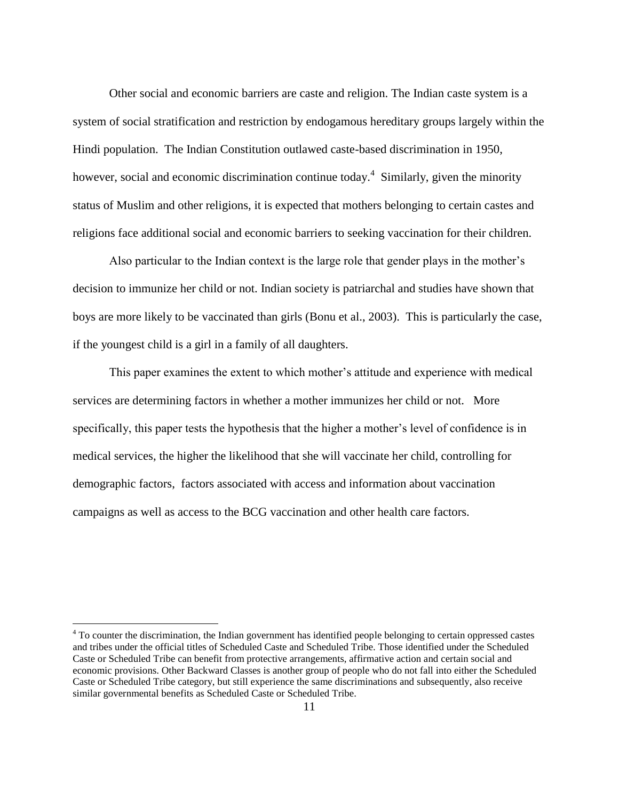Other social and economic barriers are caste and religion. The Indian caste system is a system of social stratification and restriction by endogamous hereditary groups largely within the Hindi population. The Indian Constitution outlawed caste-based discrimination in 1950, however, social and economic discrimination continue today.<sup>4</sup> Similarly, given the minority status of Muslim and other religions, it is expected that mothers belonging to certain castes and religions face additional social and economic barriers to seeking vaccination for their children.

Also particular to the Indian context is the large role that gender plays in the mother's decision to immunize her child or not. Indian society is patriarchal and studies have shown that boys are more likely to be vaccinated than girls (Bonu et al., 2003). This is particularly the case, if the youngest child is a girl in a family of all daughters.

This paper examines the extent to which mother's attitude and experience with medical services are determining factors in whether a mother immunizes her child or not. More specifically, this paper tests the hypothesis that the higher a mother's level of confidence is in medical services, the higher the likelihood that she will vaccinate her child, controlling for demographic factors, factors associated with access and information about vaccination campaigns as well as access to the BCG vaccination and other health care factors.

 $\overline{a}$ 

<sup>&</sup>lt;sup>4</sup> To counter the discrimination, the Indian government has identified people belonging to certain oppressed castes and tribes under the official titles of Scheduled Caste and Scheduled Tribe. Those identified under the Scheduled Caste or Scheduled Tribe can benefit from protective arrangements, affirmative action and certain social and economic provisions. Other Backward Classes is another group of people who do not fall into either the Scheduled Caste or Scheduled Tribe category, but still experience the same discriminations and subsequently, also receive similar governmental benefits as Scheduled Caste or Scheduled Tribe.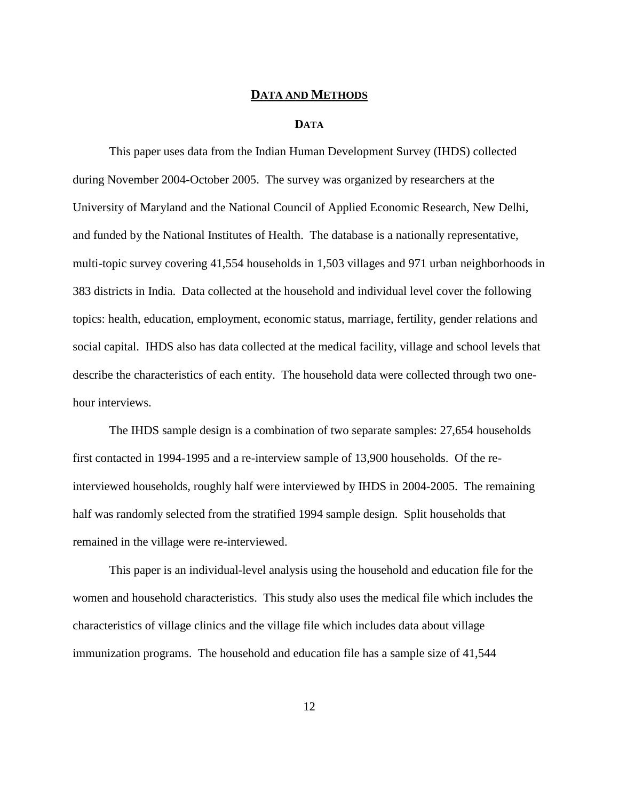# **DATA AND METHODS**

### **DATA**

This paper uses data from the Indian Human Development Survey (IHDS) collected during November 2004-October 2005. The survey was organized by researchers at the University of Maryland and the National Council of Applied Economic Research, New Delhi, and funded by the National Institutes of Health. The database is a nationally representative, multi-topic survey covering 41,554 households in 1,503 villages and 971 urban neighborhoods in 383 districts in India. Data collected at the household and individual level cover the following topics: health, education, employment, economic status, marriage, fertility, gender relations and social capital. IHDS also has data collected at the medical facility, village and school levels that describe the characteristics of each entity. The household data were collected through two onehour interviews.

The IHDS sample design is a combination of two separate samples: 27,654 households first contacted in 1994-1995 and a re-interview sample of 13,900 households. Of the reinterviewed households, roughly half were interviewed by IHDS in 2004-2005. The remaining half was randomly selected from the stratified 1994 sample design. Split households that remained in the village were re-interviewed.

This paper is an individual-level analysis using the household and education file for the women and household characteristics. This study also uses the medical file which includes the characteristics of village clinics and the village file which includes data about village immunization programs. The household and education file has a sample size of 41,544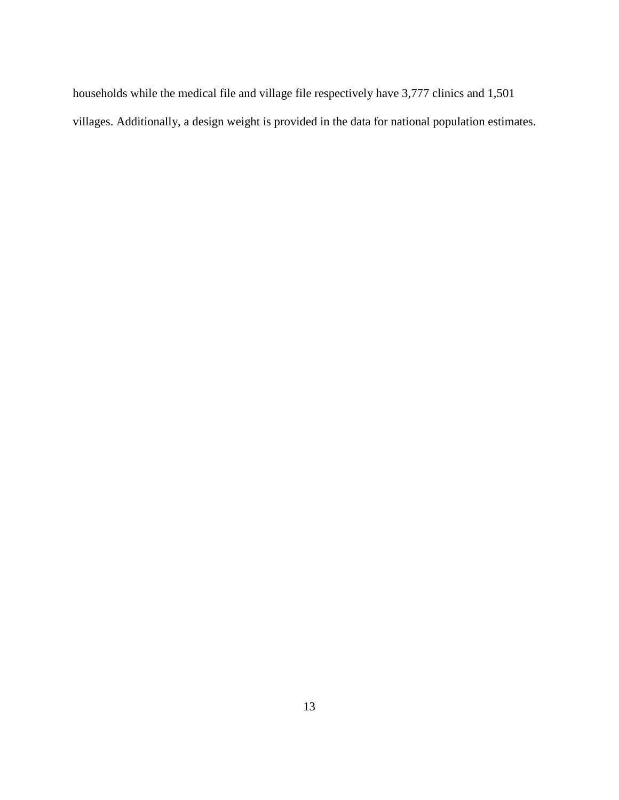households while the medical file and village file respectively have 3,777 clinics and 1,501 villages. Additionally, a design weight is provided in the data for national population estimates.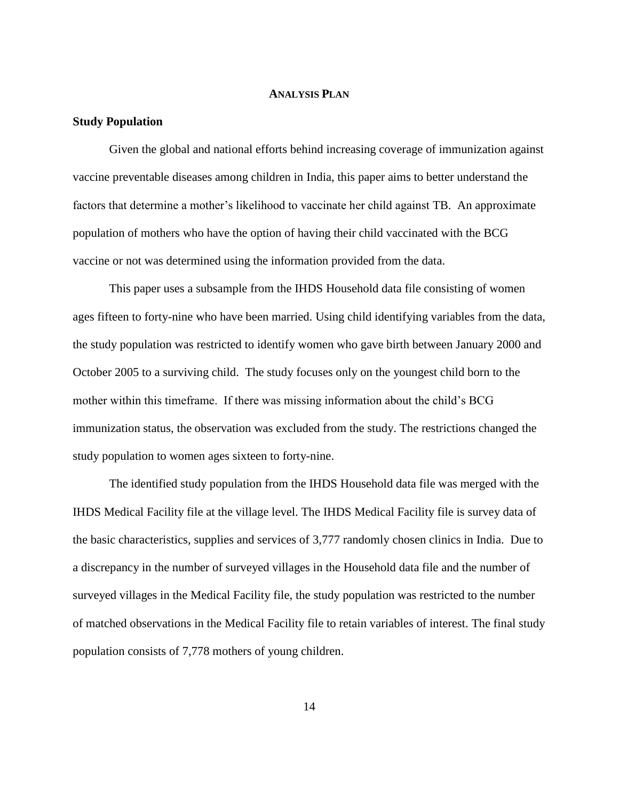## **ANALYSIS PLAN**

#### **Study Population**

Given the global and national efforts behind increasing coverage of immunization against vaccine preventable diseases among children in India, this paper aims to better understand the factors that determine a mother's likelihood to vaccinate her child against TB. An approximate population of mothers who have the option of having their child vaccinated with the BCG vaccine or not was determined using the information provided from the data.

This paper uses a subsample from the IHDS Household data file consisting of women ages fifteen to forty-nine who have been married. Using child identifying variables from the data, the study population was restricted to identify women who gave birth between January 2000 and October 2005 to a surviving child. The study focuses only on the youngest child born to the mother within this timeframe. If there was missing information about the child's BCG immunization status, the observation was excluded from the study. The restrictions changed the study population to women ages sixteen to forty-nine.

The identified study population from the IHDS Household data file was merged with the IHDS Medical Facility file at the village level. The IHDS Medical Facility file is survey data of the basic characteristics, supplies and services of 3,777 randomly chosen clinics in India. Due to a discrepancy in the number of surveyed villages in the Household data file and the number of surveyed villages in the Medical Facility file, the study population was restricted to the number of matched observations in the Medical Facility file to retain variables of interest. The final study population consists of 7,778 mothers of young children.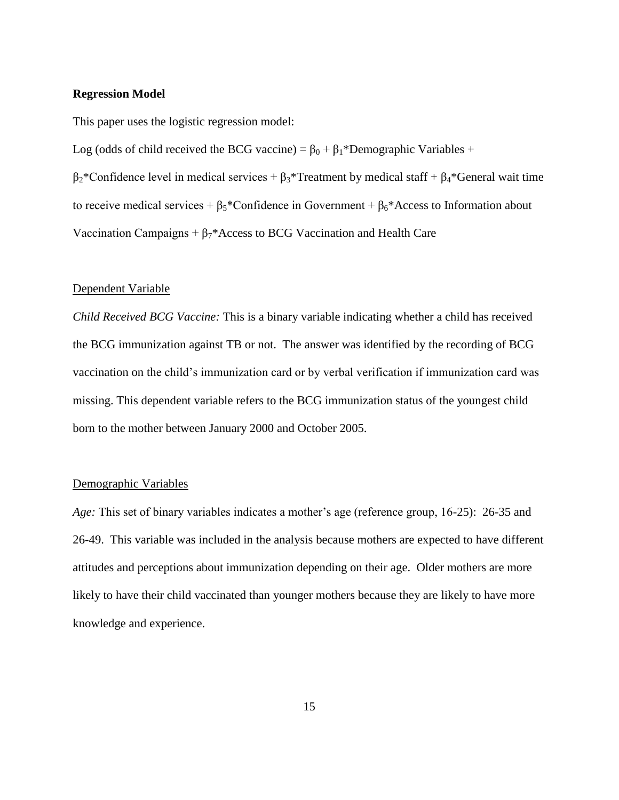### **Regression Model**

This paper uses the logistic regression model:

Log (odds of child received the BCG vaccine) =  $\beta_0 + \beta_1 *$ Demographic Variables +  $β<sub>2</sub> *Confidence level in medical services + β<sub>3</sub> * Treatment by medical staff + β<sub>4</sub> * General wait time$ to receive medical services +  $\beta_5$ \*Confidence in Government +  $\beta_6$ \*Access to Information about Vaccination Campaigns +  $\beta_7^*$ Access to BCG Vaccination and Health Care

## Dependent Variable

*Child Received BCG Vaccine:* This is a binary variable indicating whether a child has received the BCG immunization against TB or not. The answer was identified by the recording of BCG vaccination on the child's immunization card or by verbal verification if immunization card was missing. This dependent variable refers to the BCG immunization status of the youngest child born to the mother between January 2000 and October 2005.

### Demographic Variables

*Age:* This set of binary variables indicates a mother's age (reference group, 16-25): 26-35 and 26-49. This variable was included in the analysis because mothers are expected to have different attitudes and perceptions about immunization depending on their age. Older mothers are more likely to have their child vaccinated than younger mothers because they are likely to have more knowledge and experience.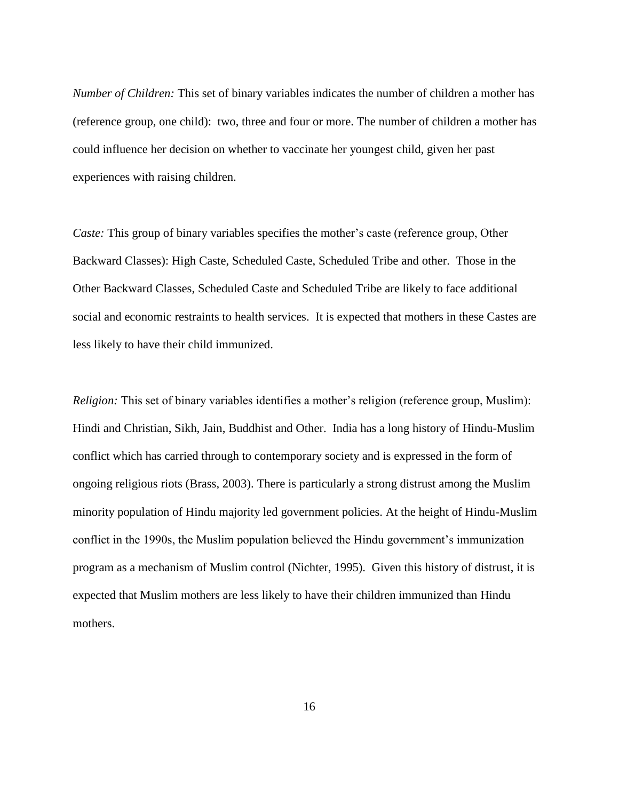*Number of Children:* This set of binary variables indicates the number of children a mother has (reference group, one child): two, three and four or more. The number of children a mother has could influence her decision on whether to vaccinate her youngest child, given her past experiences with raising children.

*Caste:* This group of binary variables specifies the mother's caste (reference group, Other Backward Classes): High Caste, Scheduled Caste, Scheduled Tribe and other. Those in the Other Backward Classes, Scheduled Caste and Scheduled Tribe are likely to face additional social and economic restraints to health services. It is expected that mothers in these Castes are less likely to have their child immunized.

*Religion:* This set of binary variables identifies a mother's religion (reference group, Muslim): Hindi and Christian, Sikh, Jain, Buddhist and Other. India has a long history of Hindu-Muslim conflict which has carried through to contemporary society and is expressed in the form of ongoing religious riots (Brass, 2003). There is particularly a strong distrust among the Muslim minority population of Hindu majority led government policies. At the height of Hindu-Muslim conflict in the 1990s, the Muslim population believed the Hindu government's immunization program as a mechanism of Muslim control (Nichter, 1995). Given this history of distrust, it is expected that Muslim mothers are less likely to have their children immunized than Hindu mothers.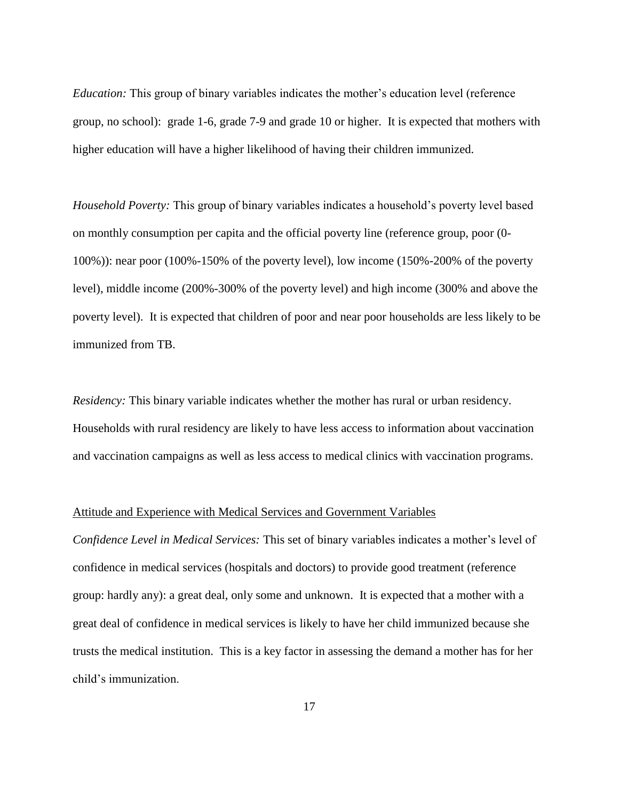*Education:* This group of binary variables indicates the mother's education level (reference group, no school): grade 1-6, grade 7-9 and grade 10 or higher. It is expected that mothers with higher education will have a higher likelihood of having their children immunized.

*Household Poverty:* This group of binary variables indicates a household's poverty level based on monthly consumption per capita and the official poverty line (reference group, poor (0- 100%)): near poor (100%-150% of the poverty level), low income (150%-200% of the poverty level), middle income (200%-300% of the poverty level) and high income (300% and above the poverty level). It is expected that children of poor and near poor households are less likely to be immunized from TB.

*Residency:* This binary variable indicates whether the mother has rural or urban residency. Households with rural residency are likely to have less access to information about vaccination and vaccination campaigns as well as less access to medical clinics with vaccination programs.

#### Attitude and Experience with Medical Services and Government Variables

*Confidence Level in Medical Services:* This set of binary variables indicates a mother's level of confidence in medical services (hospitals and doctors) to provide good treatment (reference group: hardly any): a great deal, only some and unknown. It is expected that a mother with a great deal of confidence in medical services is likely to have her child immunized because she trusts the medical institution. This is a key factor in assessing the demand a mother has for her child's immunization.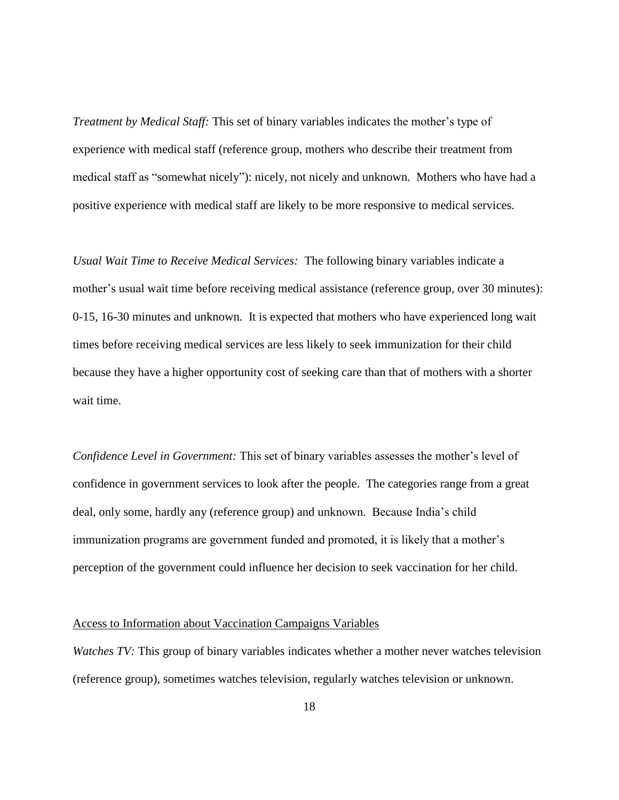*Treatment by Medical Staff:* This set of binary variables indicates the mother's type of experience with medical staff (reference group, mothers who describe their treatment from medical staff as "somewhat nicely"): nicely, not nicely and unknown. Mothers who have had a positive experience with medical staff are likely to be more responsive to medical services.

*Usual Wait Time to Receive Medical Services:* The following binary variables indicate a mother's usual wait time before receiving medical assistance (reference group, over 30 minutes): 0-15, 16-30 minutes and unknown. It is expected that mothers who have experienced long wait times before receiving medical services are less likely to seek immunization for their child because they have a higher opportunity cost of seeking care than that of mothers with a shorter wait time.

*Confidence Level in Government:* This set of binary variables assesses the mother's level of confidence in government services to look after the people. The categories range from a great deal, only some, hardly any (reference group) and unknown. Because India's child immunization programs are government funded and promoted, it is likely that a mother's perception of the government could influence her decision to seek vaccination for her child.

## Access to Information about Vaccination Campaigns Variables

*Watches TV:* This group of binary variables indicates whether a mother never watches television (reference group), sometimes watches television, regularly watches television or unknown.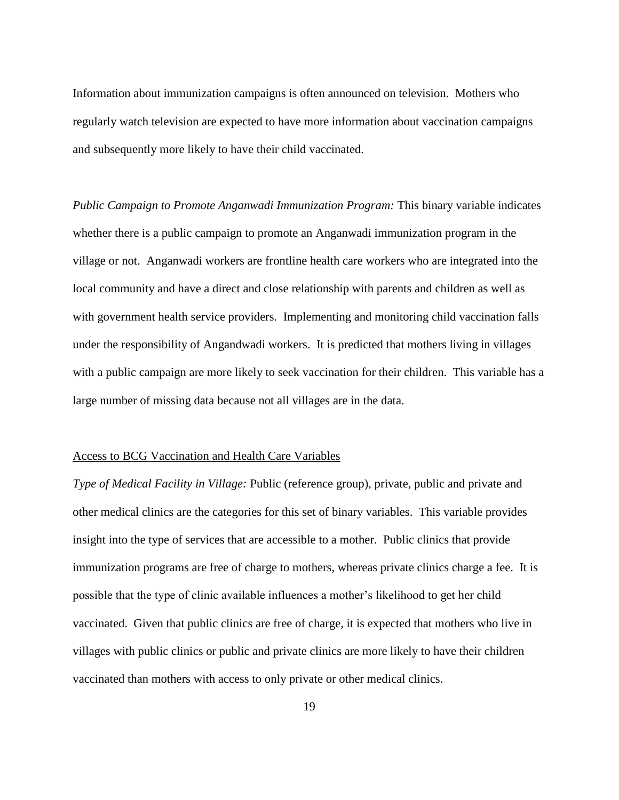Information about immunization campaigns is often announced on television. Mothers who regularly watch television are expected to have more information about vaccination campaigns and subsequently more likely to have their child vaccinated.

*Public Campaign to Promote Anganwadi Immunization Program:* This binary variable indicates whether there is a public campaign to promote an Anganwadi immunization program in the village or not. Anganwadi workers are frontline health care workers who are integrated into the local community and have a direct and close relationship with parents and children as well as with government health service providers. Implementing and monitoring child vaccination falls under the responsibility of Angandwadi workers. It is predicted that mothers living in villages with a public campaign are more likely to seek vaccination for their children. This variable has a large number of missing data because not all villages are in the data.

#### Access to BCG Vaccination and Health Care Variables

*Type of Medical Facility in Village:* Public (reference group), private, public and private and other medical clinics are the categories for this set of binary variables. This variable provides insight into the type of services that are accessible to a mother. Public clinics that provide immunization programs are free of charge to mothers, whereas private clinics charge a fee. It is possible that the type of clinic available influences a mother's likelihood to get her child vaccinated. Given that public clinics are free of charge, it is expected that mothers who live in villages with public clinics or public and private clinics are more likely to have their children vaccinated than mothers with access to only private or other medical clinics.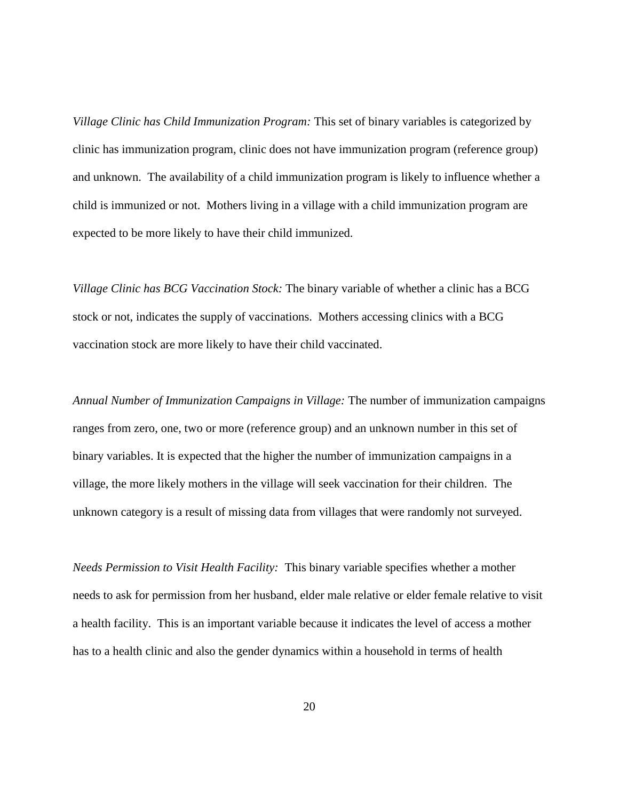*Village Clinic has Child Immunization Program:* This set of binary variables is categorized by clinic has immunization program, clinic does not have immunization program (reference group) and unknown. The availability of a child immunization program is likely to influence whether a child is immunized or not. Mothers living in a village with a child immunization program are expected to be more likely to have their child immunized.

*Village Clinic has BCG Vaccination Stock:* The binary variable of whether a clinic has a BCG stock or not, indicates the supply of vaccinations. Mothers accessing clinics with a BCG vaccination stock are more likely to have their child vaccinated.

*Annual Number of Immunization Campaigns in Village:* The number of immunization campaigns ranges from zero, one, two or more (reference group) and an unknown number in this set of binary variables. It is expected that the higher the number of immunization campaigns in a village, the more likely mothers in the village will seek vaccination for their children. The unknown category is a result of missing data from villages that were randomly not surveyed.

*Needs Permission to Visit Health Facility:* This binary variable specifies whether a mother needs to ask for permission from her husband, elder male relative or elder female relative to visit a health facility. This is an important variable because it indicates the level of access a mother has to a health clinic and also the gender dynamics within a household in terms of health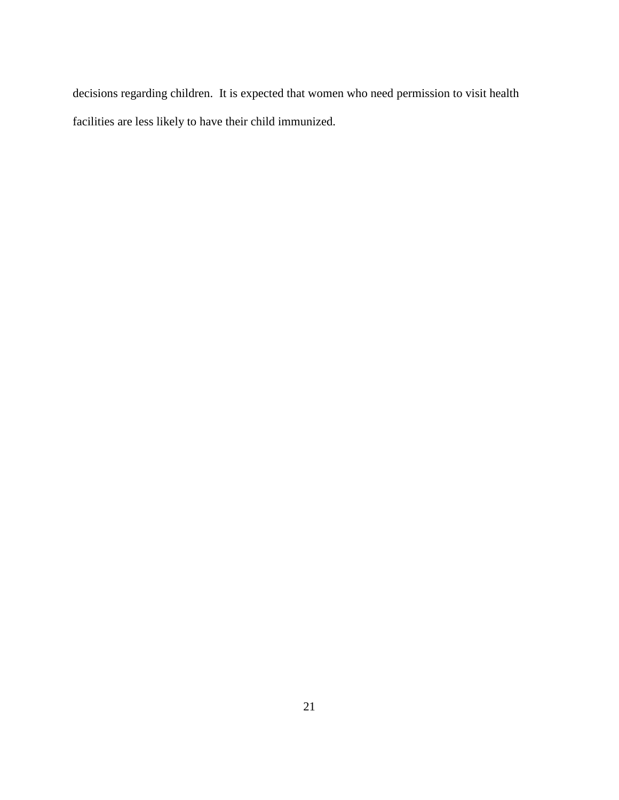decisions regarding children. It is expected that women who need permission to visit health facilities are less likely to have their child immunized.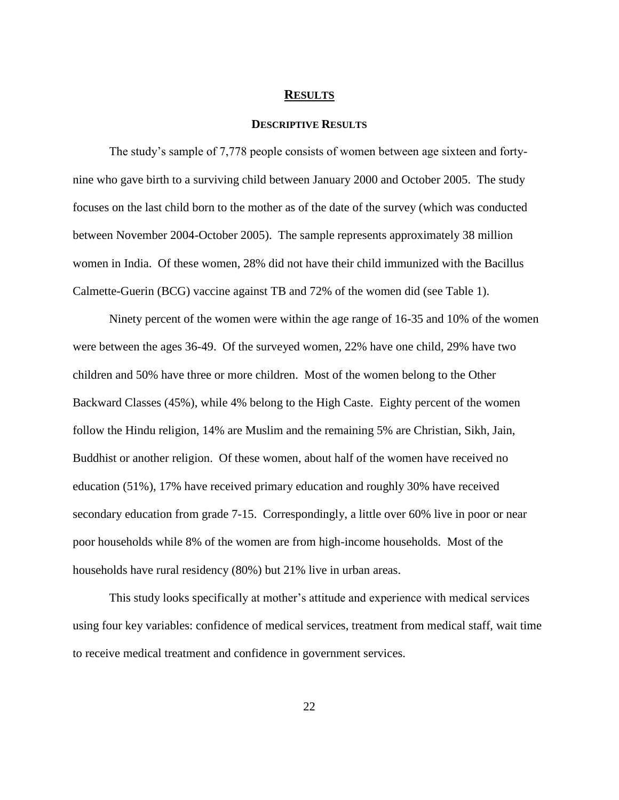#### **RESULTS**

## **DESCRIPTIVE RESULTS**

The study's sample of 7,778 people consists of women between age sixteen and fortynine who gave birth to a surviving child between January 2000 and October 2005. The study focuses on the last child born to the mother as of the date of the survey (which was conducted between November 2004-October 2005). The sample represents approximately 38 million women in India. Of these women, 28% did not have their child immunized with the Bacillus Calmette-Guerin (BCG) vaccine against TB and 72% of the women did (see Table 1).

Ninety percent of the women were within the age range of 16-35 and 10% of the women were between the ages 36-49. Of the surveyed women, 22% have one child, 29% have two children and 50% have three or more children. Most of the women belong to the Other Backward Classes (45%), while 4% belong to the High Caste. Eighty percent of the women follow the Hindu religion, 14% are Muslim and the remaining 5% are Christian, Sikh, Jain, Buddhist or another religion. Of these women, about half of the women have received no education (51%), 17% have received primary education and roughly 30% have received secondary education from grade 7-15. Correspondingly, a little over 60% live in poor or near poor households while 8% of the women are from high-income households. Most of the households have rural residency (80%) but 21% live in urban areas.

This study looks specifically at mother's attitude and experience with medical services using four key variables: confidence of medical services, treatment from medical staff, wait time to receive medical treatment and confidence in government services.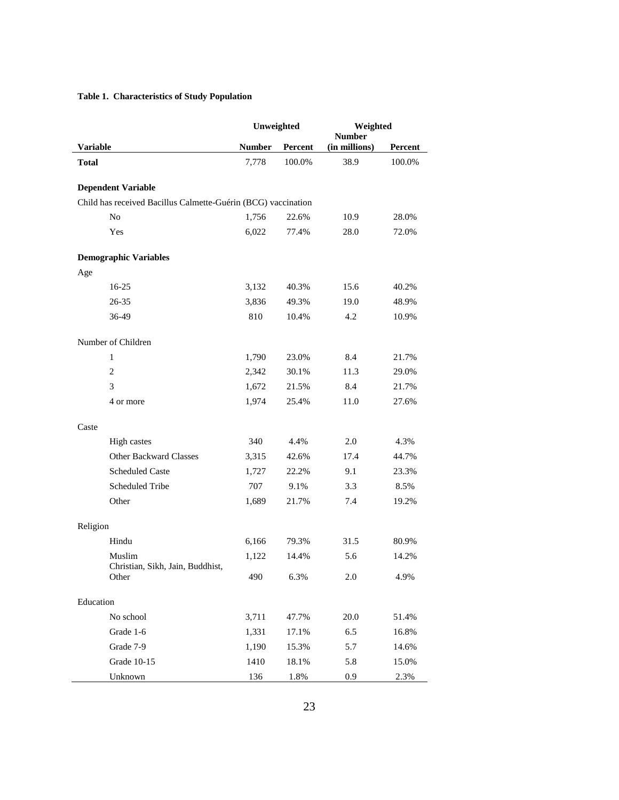# **Table 1. Characteristics of Study Population**

|                 |                                                               | Unweighted    |         | Weighted<br><b>Number</b> |         |
|-----------------|---------------------------------------------------------------|---------------|---------|---------------------------|---------|
| <b>Variable</b> |                                                               | <b>Number</b> | Percent | (in millions)             | Percent |
| <b>Total</b>    |                                                               | 7,778         | 100.0%  | 38.9                      | 100.0%  |
|                 |                                                               |               |         |                           |         |
|                 | <b>Dependent Variable</b>                                     |               |         |                           |         |
|                 | Child has received Bacillus Calmette-Guérin (BCG) vaccination |               |         |                           |         |
|                 | No                                                            | 1,756         | 22.6%   | 10.9                      | 28.0%   |
|                 | Yes                                                           | 6,022         | 77.4%   | 28.0                      | 72.0%   |
|                 | <b>Demographic Variables</b>                                  |               |         |                           |         |
| Age             |                                                               |               |         |                           |         |
|                 | $16-25$                                                       | 3,132         | 40.3%   | 15.6                      | 40.2%   |
|                 | $26 - 35$                                                     | 3,836         | 49.3%   | 19.0                      | 48.9%   |
|                 | 36-49                                                         | 810           | 10.4%   | 4.2                       | 10.9%   |
|                 | Number of Children                                            |               |         |                           |         |
|                 | $\mathbf{1}$                                                  | 1,790         | 23.0%   | 8.4                       | 21.7%   |
|                 | $\overline{c}$                                                | 2,342         | 30.1%   | 11.3                      | 29.0%   |
|                 | 3                                                             | 1,672         | 21.5%   | 8.4                       | 21.7%   |
|                 | 4 or more                                                     | 1,974         | 25.4%   | 11.0                      | 27.6%   |
| Caste           |                                                               |               |         |                           |         |
|                 | High castes                                                   | 340           | 4.4%    | 2.0                       | 4.3%    |
|                 | <b>Other Backward Classes</b>                                 | 3,315         | 42.6%   | 17.4                      | 44.7%   |
|                 | <b>Scheduled Caste</b>                                        | 1,727         | 22.2%   | 9.1                       | 23.3%   |
|                 | Scheduled Tribe                                               | 707           | 9.1%    | 3.3                       | 8.5%    |
|                 | Other                                                         | 1,689         | 21.7%   | 7.4                       | 19.2%   |
| Religion        |                                                               |               |         |                           |         |
|                 | Hindu                                                         | 6,166         | 79.3%   | 31.5                      | 80.9%   |
|                 | Muslim                                                        | 1,122         | 14.4%   | 5.6                       | 14.2%   |
|                 | Christian, Sikh, Jain, Buddhist,<br>Other                     | 490           | 6.3%    | 2.0                       | 4.9%    |
| Education       |                                                               |               |         |                           |         |
|                 | No school                                                     | 3,711         | 47.7%   | 20.0                      | 51.4%   |
|                 | Grade 1-6                                                     | 1,331         | 17.1%   | 6.5                       | 16.8%   |
|                 | Grade 7-9                                                     | 1,190         | 15.3%   | 5.7                       | 14.6%   |
|                 | Grade 10-15                                                   | 1410          | 18.1%   | 5.8                       | 15.0%   |
|                 | Unknown                                                       | 136           | 1.8%    | 0.9                       | 2.3%    |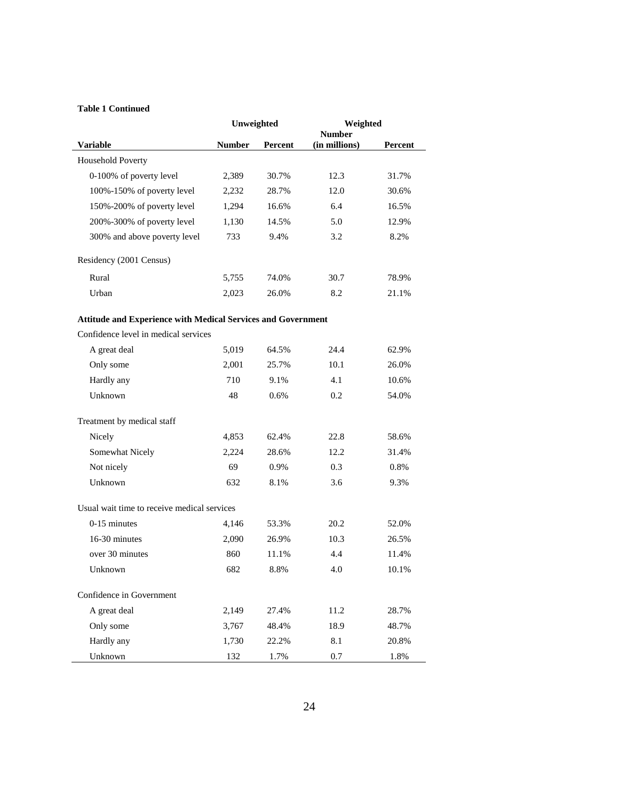#### **Table 1 Continued**

|                                                                     | Unweighted    |         | Weighted<br><b>Number</b> |         |  |
|---------------------------------------------------------------------|---------------|---------|---------------------------|---------|--|
| <b>Variable</b>                                                     | <b>Number</b> | Percent | (in millions)             | Percent |  |
| Household Poverty                                                   |               |         |                           |         |  |
| 0-100% of poverty level                                             | 2,389         | 30.7%   | 12.3                      | 31.7%   |  |
| 100%-150% of poverty level                                          | 2,232         | 28.7%   | 12.0                      | 30.6%   |  |
| 150%-200% of poverty level                                          | 1,294         | 16.6%   | 6.4                       | 16.5%   |  |
| 200%-300% of poverty level                                          | 1,130         | 14.5%   | 5.0                       | 12.9%   |  |
| 300% and above poverty level                                        | 733           | 9.4%    | 3.2                       | 8.2%    |  |
| Residency (2001 Census)                                             |               |         |                           |         |  |
| Rural                                                               | 5,755         | 74.0%   | 30.7                      | 78.9%   |  |
| Urban                                                               | 2,023         | 26.0%   | 8.2                       | 21.1%   |  |
| <b>Attitude and Experience with Medical Services and Government</b> |               |         |                           |         |  |
| Confidence level in medical services                                |               |         |                           |         |  |
| A great deal                                                        | 5,019         | 64.5%   | 24.4                      | 62.9%   |  |
| Only some                                                           | 2,001         | 25.7%   | 10.1                      | 26.0%   |  |
| Hardly any                                                          | 710           | 9.1%    | 4.1                       | 10.6%   |  |
| Unknown                                                             | 48            | 0.6%    | 0.2                       | 54.0%   |  |
| Treatment by medical staff                                          |               |         |                           |         |  |
| Nicely                                                              | 4,853         | 62.4%   | 22.8                      | 58.6%   |  |
| Somewhat Nicely                                                     | 2,224         | 28.6%   | 12.2                      | 31.4%   |  |
| Not nicely                                                          | 69            | 0.9%    | 0.3                       | 0.8%    |  |
| Unknown                                                             | 632           | 8.1%    | 3.6                       | 9.3%    |  |
| Usual wait time to receive medical services                         |               |         |                           |         |  |
| $0-15$ minutes                                                      | 4,146         | 53.3%   | 20.2                      | 52.0%   |  |
| 16-30 minutes                                                       | 2,090         | 26.9%   | 10.3                      | 26.5%   |  |
| over 30 minutes                                                     | 860           | 11.1%   | 4.4                       | 11.4%   |  |
| Unknown                                                             | 682           | 8.8%    | 4.0                       | 10.1%   |  |
| Confidence in Government                                            |               |         |                           |         |  |
| A great deal                                                        | 2,149         | 27.4%   | 11.2                      | 28.7%   |  |
| Only some                                                           | 3,767         | 48.4%   | 18.9                      | 48.7%   |  |
| Hardly any                                                          | 1,730         | 22.2%   | 8.1                       | 20.8%   |  |
| Unknown                                                             | 132           | 1.7%    | 0.7                       | 1.8%    |  |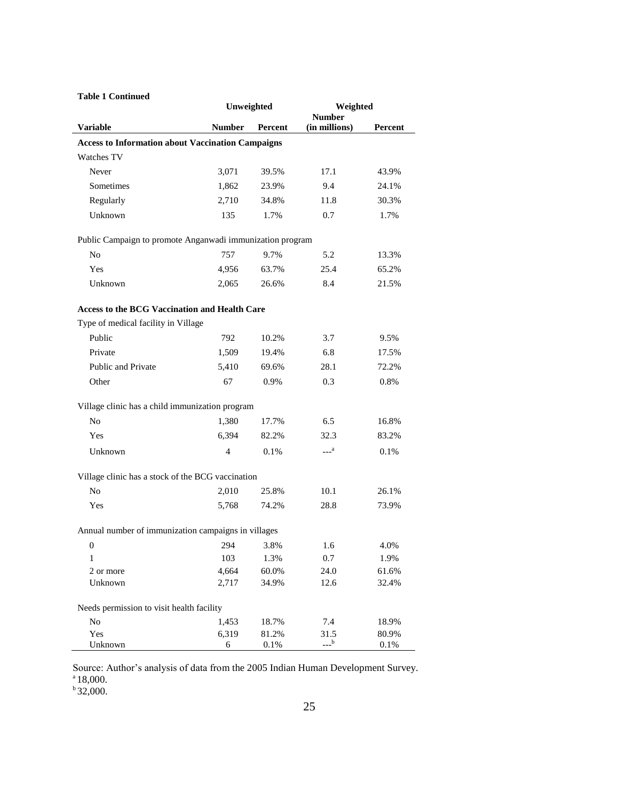| <b>Table 1 Continued</b>                                  |                |         |                                |         |
|-----------------------------------------------------------|----------------|---------|--------------------------------|---------|
|                                                           | Unweighted     |         | Weighted                       |         |
| <b>Variable</b>                                           | <b>Number</b>  | Percent | <b>Number</b><br>(in millions) | Percent |
| <b>Access to Information about Vaccination Campaigns</b>  |                |         |                                |         |
| <b>Watches TV</b>                                         |                |         |                                |         |
| Never                                                     | 3,071          | 39.5%   | 17.1                           | 43.9%   |
| Sometimes                                                 | 1,862          | 23.9%   | 9.4                            | 24.1%   |
| Regularly                                                 | 2,710          | 34.8%   | 11.8                           | 30.3%   |
| Unknown                                                   | 135            | 1.7%    | 0.7                            | 1.7%    |
| Public Campaign to promote Anganwadi immunization program |                |         |                                |         |
| No                                                        | 757            | 9.7%    | 5.2                            | 13.3%   |
| Yes                                                       | 4,956          | 63.7%   | 25.4                           | 65.2%   |
| Unknown                                                   | 2,065          | 26.6%   | 8.4                            | 21.5%   |
| <b>Access to the BCG Vaccination and Health Care</b>      |                |         |                                |         |
| Type of medical facility in Village                       |                |         |                                |         |
| Public                                                    | 792            | 10.2%   | 3.7                            | 9.5%    |
| Private                                                   | 1,509          | 19.4%   | 6.8                            | 17.5%   |
| <b>Public and Private</b>                                 | 5,410          | 69.6%   | 28.1                           | 72.2%   |
| Other                                                     | 67             | 0.9%    | 0.3                            | 0.8%    |
| Village clinic has a child immunization program           |                |         |                                |         |
| N <sub>o</sub>                                            | 1,380          | 17.7%   | 6.5                            | 16.8%   |
| Yes                                                       | 6,394          | 82.2%   | 32.3                           | 83.2%   |
| Unknown                                                   | $\overline{4}$ | 0.1%    | $---a$                         | 0.1%    |
| Village clinic has a stock of the BCG vaccination         |                |         |                                |         |
| No                                                        | 2,010          | 25.8%   | 10.1                           | 26.1%   |
| Yes                                                       | 5,768          | 74.2%   | 28.8                           | 73.9%   |
| Annual number of immunization campaigns in villages       |                |         |                                |         |
| 0                                                         | 294            | 3.8%    | 1.6                            | 4.0%    |
| 1                                                         | 103            | 1.3%    | 0.7                            | 1.9%    |
| 2 or more                                                 | 4,664          | 60.0%   | 24.0                           | 61.6%   |
| Unknown                                                   | 2,717          | 34.9%   | 12.6                           | 32.4%   |
| Needs permission to visit health facility                 |                |         |                                |         |
| No                                                        | 1,453          | 18.7%   | 7.4                            | 18.9%   |
| Yes                                                       | 6,319          | 81.2%   | 31.5                           | 80.9%   |
| Unknown                                                   | 6              | 0.1%    | $---b$                         | 0.1%    |

Source: Author's analysis of data from the 2005 Indian Human Development Survey. a 18,000.

 $b$  32,000.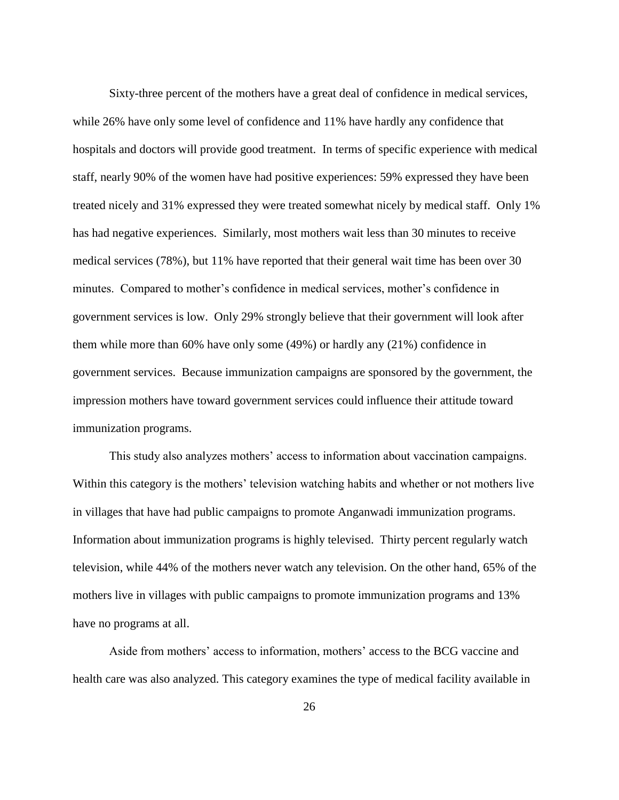Sixty-three percent of the mothers have a great deal of confidence in medical services, while 26% have only some level of confidence and 11% have hardly any confidence that hospitals and doctors will provide good treatment. In terms of specific experience with medical staff, nearly 90% of the women have had positive experiences: 59% expressed they have been treated nicely and 31% expressed they were treated somewhat nicely by medical staff. Only 1% has had negative experiences. Similarly, most mothers wait less than 30 minutes to receive medical services (78%), but 11% have reported that their general wait time has been over 30 minutes. Compared to mother's confidence in medical services, mother's confidence in government services is low. Only 29% strongly believe that their government will look after them while more than 60% have only some (49%) or hardly any (21%) confidence in government services. Because immunization campaigns are sponsored by the government, the impression mothers have toward government services could influence their attitude toward immunization programs.

This study also analyzes mothers' access to information about vaccination campaigns. Within this category is the mothers' television watching habits and whether or not mothers live in villages that have had public campaigns to promote Anganwadi immunization programs. Information about immunization programs is highly televised. Thirty percent regularly watch television, while 44% of the mothers never watch any television. On the other hand, 65% of the mothers live in villages with public campaigns to promote immunization programs and 13% have no programs at all.

Aside from mothers' access to information, mothers' access to the BCG vaccine and health care was also analyzed. This category examines the type of medical facility available in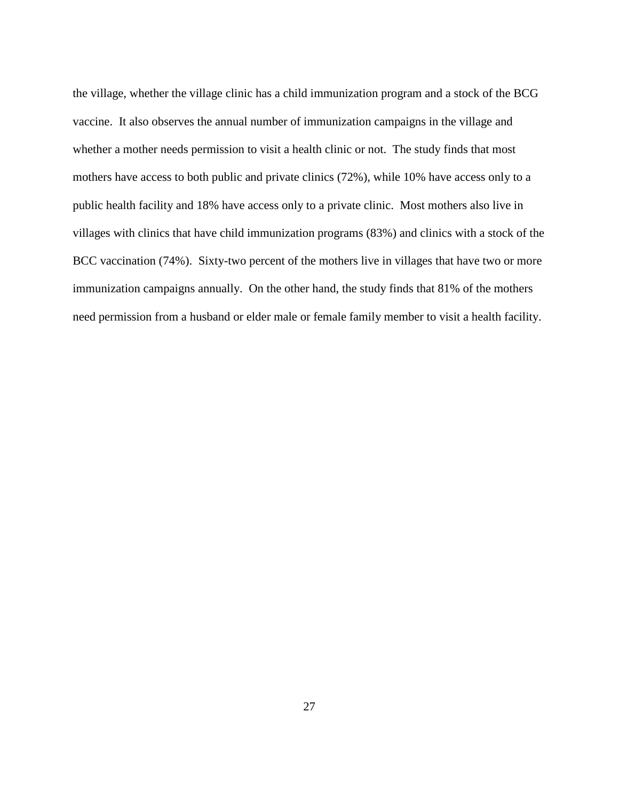the village, whether the village clinic has a child immunization program and a stock of the BCG vaccine. It also observes the annual number of immunization campaigns in the village and whether a mother needs permission to visit a health clinic or not. The study finds that most mothers have access to both public and private clinics (72%), while 10% have access only to a public health facility and 18% have access only to a private clinic. Most mothers also live in villages with clinics that have child immunization programs (83%) and clinics with a stock of the BCC vaccination (74%). Sixty-two percent of the mothers live in villages that have two or more immunization campaigns annually. On the other hand, the study finds that 81% of the mothers need permission from a husband or elder male or female family member to visit a health facility.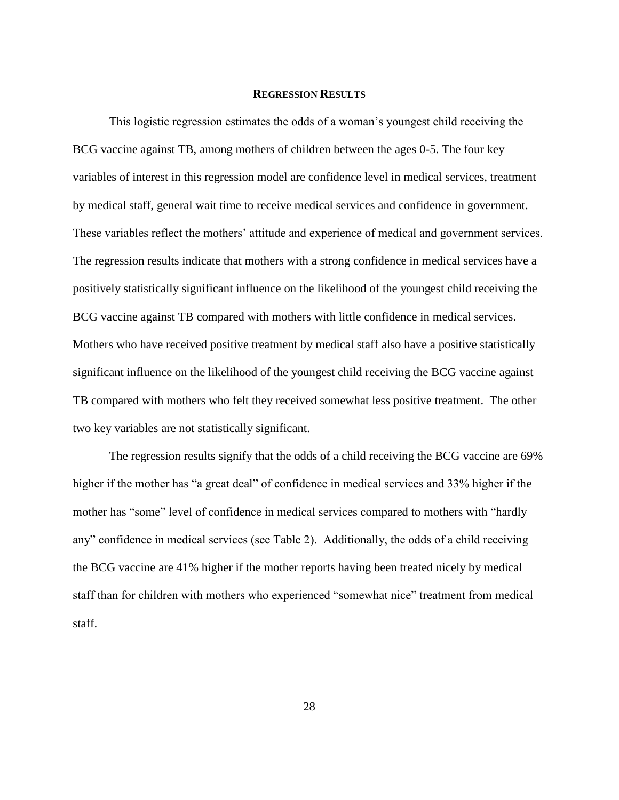#### **REGRESSION RESULTS**

This logistic regression estimates the odds of a woman's youngest child receiving the BCG vaccine against TB, among mothers of children between the ages 0-5. The four key variables of interest in this regression model are confidence level in medical services, treatment by medical staff, general wait time to receive medical services and confidence in government. These variables reflect the mothers' attitude and experience of medical and government services. The regression results indicate that mothers with a strong confidence in medical services have a positively statistically significant influence on the likelihood of the youngest child receiving the BCG vaccine against TB compared with mothers with little confidence in medical services. Mothers who have received positive treatment by medical staff also have a positive statistically significant influence on the likelihood of the youngest child receiving the BCG vaccine against TB compared with mothers who felt they received somewhat less positive treatment. The other two key variables are not statistically significant.

The regression results signify that the odds of a child receiving the BCG vaccine are 69% higher if the mother has "a great deal" of confidence in medical services and 33% higher if the mother has "some" level of confidence in medical services compared to mothers with "hardly" any" confidence in medical services (see Table 2). Additionally, the odds of a child receiving the BCG vaccine are 41% higher if the mother reports having been treated nicely by medical staff than for children with mothers who experienced "somewhat nice" treatment from medical staff.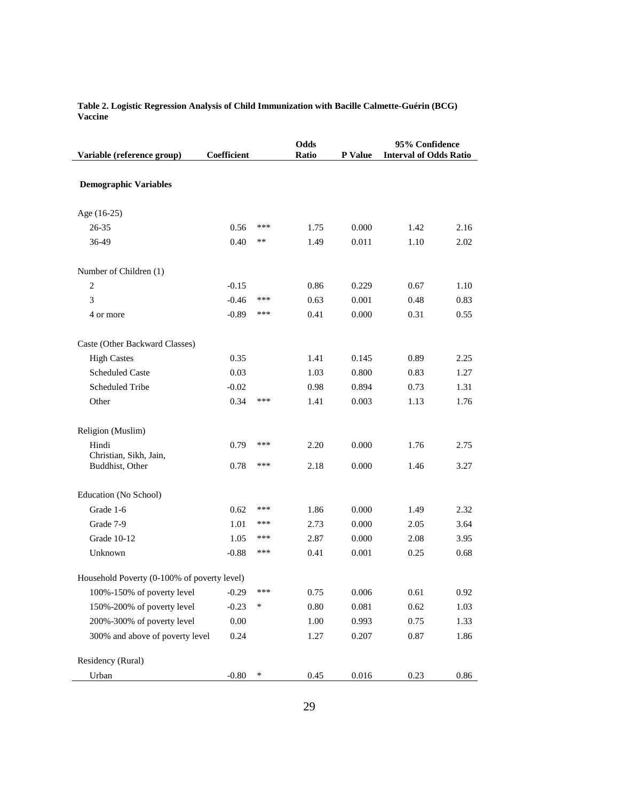| Variable (reference group)                  | Coefficient |        | Odds<br>Ratio | P Value | 95% Confidence<br><b>Interval of Odds Ratio</b> |      |
|---------------------------------------------|-------------|--------|---------------|---------|-------------------------------------------------|------|
| <b>Demographic Variables</b>                |             |        |               |         |                                                 |      |
| Age (16-25)                                 |             |        |               |         |                                                 |      |
| 26-35                                       | 0.56        | ***    | 1.75          | 0.000   | 1.42                                            | 2.16 |
| 36-49                                       | 0.40        | $***$  | 1.49          | 0.011   | 1.10                                            | 2.02 |
| Number of Children (1)                      |             |        |               |         |                                                 |      |
| $\sqrt{2}$                                  | $-0.15$     |        | 0.86          | 0.229   | 0.67                                            | 1.10 |
| 3                                           | $-0.46$     | ***    | 0.63          | 0.001   | 0.48                                            | 0.83 |
| 4 or more                                   | $-0.89$     | ***    | 0.41          | 0.000   | 0.31                                            | 0.55 |
| Caste (Other Backward Classes)              |             |        |               |         |                                                 |      |
| <b>High Castes</b>                          | 0.35        |        | 1.41          | 0.145   | 0.89                                            | 2.25 |
| <b>Scheduled Caste</b>                      | 0.03        |        | 1.03          | 0.800   | 0.83                                            | 1.27 |
| Scheduled Tribe                             | $-0.02$     |        | 0.98          | 0.894   | 0.73                                            | 1.31 |
| Other                                       | 0.34        | ***    | 1.41          | 0.003   | 1.13                                            | 1.76 |
| Religion (Muslim)                           |             |        |               |         |                                                 |      |
| Hindi                                       | 0.79        | ***    | 2.20          | 0.000   | 1.76                                            | 2.75 |
| Christian, Sikh, Jain,<br>Buddhist, Other   | 0.78        | ***    | 2.18          | 0.000   | 1.46                                            | 3.27 |
| Education (No School)                       |             |        |               |         |                                                 |      |
| Grade 1-6                                   | 0.62        | ***    | 1.86          | 0.000   | 1.49                                            | 2.32 |
| Grade 7-9                                   | 1.01        | ***    | 2.73          | 0.000   | 2.05                                            | 3.64 |
| <b>Grade 10-12</b>                          | 1.05        | ***    | 2.87          | 0.000   | 2.08                                            | 3.95 |
| Unknown                                     | $-0.88$     | ***    | 0.41          | 0.001   | 0.25                                            | 0.68 |
| Household Poverty (0-100% of poverty level) |             |        |               |         |                                                 |      |
| 100%-150% of poverty level                  | $-0.29$     | ***    | 0.75          | 0.006   | 0.61                                            | 0.92 |
| 150%-200% of poverty level                  | $-0.23$     | ∗      | 0.80          | 0.081   | 0.62                                            | 1.03 |
| 200%-300% of poverty level                  | $0.00\,$    |        | $1.00\,$      | 0.993   | 0.75                                            | 1.33 |
| 300% and above of poverty level             | 0.24        |        | 1.27          | 0.207   | 0.87                                            | 1.86 |
| Residency (Rural)                           |             |        |               |         |                                                 |      |
| Urban                                       | $-0.80$     | $\ast$ | 0.45          | 0.016   | 0.23                                            | 0.86 |

**Table 2. Logistic Regression Analysis of Child Immunization with Bacille Calmette-Guérin (BCG) Vaccine**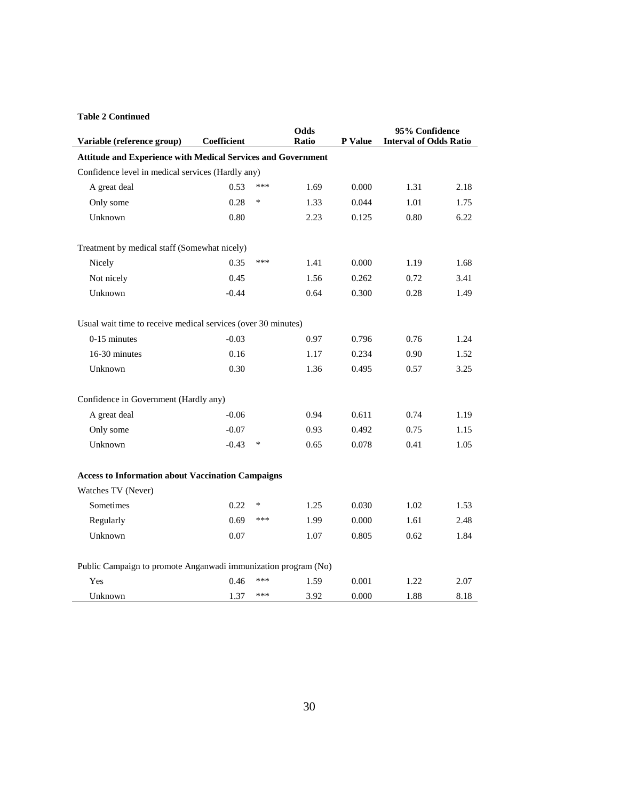#### **Table 2 Continued**

|                                                                |             |        | <b>Odds</b> |         | 95% Confidence                |      |  |  |
|----------------------------------------------------------------|-------------|--------|-------------|---------|-------------------------------|------|--|--|
| Variable (reference group)                                     | Coefficient |        | Ratio       | P Value | <b>Interval of Odds Ratio</b> |      |  |  |
| Attitude and Experience with Medical Services and Government   |             |        |             |         |                               |      |  |  |
| Confidence level in medical services (Hardly any)              |             |        |             |         |                               |      |  |  |
| A great deal                                                   | 0.53        | ***    | 1.69        | 0.000   | 1.31                          | 2.18 |  |  |
| Only some                                                      | 0.28        | $\ast$ | 1.33        | 0.044   | 1.01                          | 1.75 |  |  |
| Unknown                                                        | 0.80        |        | 2.23        | 0.125   | 0.80                          | 6.22 |  |  |
| Treatment by medical staff (Somewhat nicely)                   |             |        |             |         |                               |      |  |  |
| Nicely                                                         | 0.35        | ***    | 1.41        | 0.000   | 1.19                          | 1.68 |  |  |
| Not nicely                                                     | 0.45        |        | 1.56        | 0.262   | 0.72                          | 3.41 |  |  |
| Unknown                                                        | $-0.44$     |        | 0.64        | 0.300   | 0.28                          | 1.49 |  |  |
| Usual wait time to receive medical services (over 30 minutes)  |             |        |             |         |                               |      |  |  |
| $0-15$ minutes                                                 | $-0.03$     |        | 0.97        | 0.796   | 0.76                          | 1.24 |  |  |
| 16-30 minutes                                                  | 0.16        |        | 1.17        | 0.234   | 0.90                          | 1.52 |  |  |
| Unknown                                                        | 0.30        |        | 1.36        | 0.495   | 0.57                          | 3.25 |  |  |
| Confidence in Government (Hardly any)                          |             |        |             |         |                               |      |  |  |
| A great deal                                                   | $-0.06$     |        | 0.94        | 0.611   | 0.74                          | 1.19 |  |  |
| Only some                                                      | $-0.07$     |        | 0.93        | 0.492   | 0.75                          | 1.15 |  |  |
| Unknown                                                        | $-0.43$     | ∗      | 0.65        | 0.078   | 0.41                          | 1.05 |  |  |
| <b>Access to Information about Vaccination Campaigns</b>       |             |        |             |         |                               |      |  |  |
| Watches TV (Never)                                             |             |        |             |         |                               |      |  |  |
| Sometimes                                                      | 0.22        | ∗      | 1.25        | 0.030   | 1.02                          | 1.53 |  |  |
| Regularly                                                      | 0.69        | ***    | 1.99        | 0.000   | 1.61                          | 2.48 |  |  |
| Unknown                                                        | 0.07        |        | 1.07        | 0.805   | 0.62                          | 1.84 |  |  |
| Public Campaign to promote Anganwadi immunization program (No) |             |        |             |         |                               |      |  |  |
| Yes                                                            | 0.46        | ***    | 1.59        | 0.001   | 1.22                          | 2.07 |  |  |
| Unknown                                                        | 1.37        | ***    | 3.92        | 0.000   | 1.88                          | 8.18 |  |  |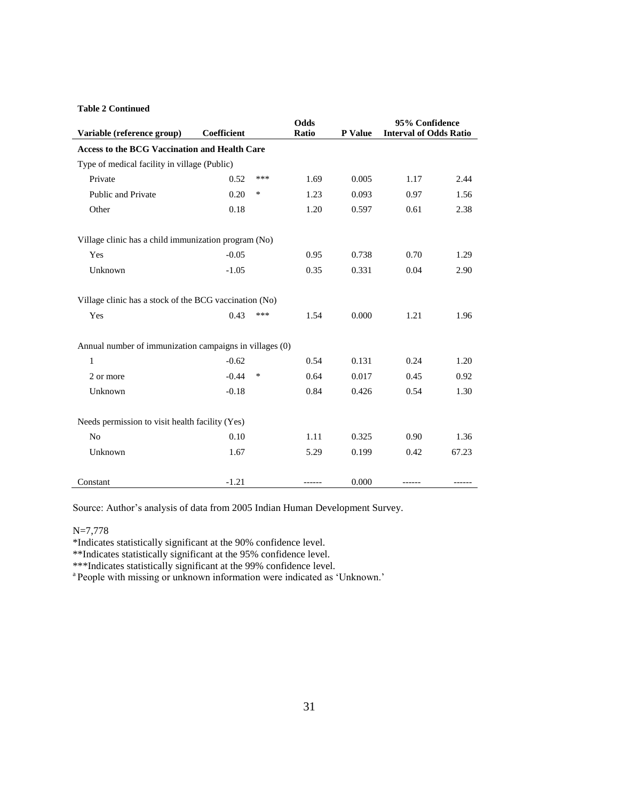## **Table 2 Continued**

|                                                         |                                                      |     | Odds  |         | 95% Confidence                |       |  |  |  |
|---------------------------------------------------------|------------------------------------------------------|-----|-------|---------|-------------------------------|-------|--|--|--|
| Variable (reference group)                              | Coefficient                                          |     | Ratio | P Value | <b>Interval of Odds Ratio</b> |       |  |  |  |
|                                                         | <b>Access to the BCG Vaccination and Health Care</b> |     |       |         |                               |       |  |  |  |
| Type of medical facility in village (Public)            |                                                      |     |       |         |                               |       |  |  |  |
| Private                                                 | 0.52                                                 | *** | 1.69  | 0.005   | 1.17                          | 2.44  |  |  |  |
| <b>Public and Private</b>                               | 0.20                                                 | *   | 1.23  | 0.093   | 0.97                          | 1.56  |  |  |  |
| Other                                                   | 0.18                                                 |     | 1.20  | 0.597   | 0.61                          | 2.38  |  |  |  |
|                                                         | Village clinic has a child immunization program (No) |     |       |         |                               |       |  |  |  |
| Yes                                                     | $-0.05$                                              |     | 0.95  | 0.738   | 0.70                          | 1.29  |  |  |  |
| Unknown                                                 | $-1.05$                                              |     | 0.35  | 0.331   | 0.04                          | 2.90  |  |  |  |
| Village clinic has a stock of the BCG vaccination (No)  |                                                      |     |       |         |                               |       |  |  |  |
| Yes                                                     | 0.43                                                 | *** | 1.54  | 0.000   | 1.21                          | 1.96  |  |  |  |
| Annual number of immunization campaigns in villages (0) |                                                      |     |       |         |                               |       |  |  |  |
| 1                                                       | $-0.62$                                              |     | 0.54  | 0.131   | 0.24                          | 1.20  |  |  |  |
| 2 or more                                               | $-0.44$                                              | *   | 0.64  | 0.017   | 0.45                          | 0.92  |  |  |  |
| Unknown                                                 | $-0.18$                                              |     | 0.84  | 0.426   | 0.54                          | 1.30  |  |  |  |
| Needs permission to visit health facility (Yes)         |                                                      |     |       |         |                               |       |  |  |  |
| N <sub>o</sub>                                          | 0.10                                                 |     | 1.11  | 0.325   | 0.90                          | 1.36  |  |  |  |
| Unknown                                                 | 1.67                                                 |     | 5.29  | 0.199   | 0.42                          | 67.23 |  |  |  |
| Constant                                                | $-1.21$                                              |     |       | 0.000   |                               |       |  |  |  |

Source: Author's analysis of data from 2005 Indian Human Development Survey.

#### N=7,778

\*Indicates statistically significant at the 90% confidence level.

\*\*Indicates statistically significant at the 95% confidence level.

\*\*\*Indicates statistically significant at the 99% confidence level.

<sup>a</sup> People with missing or unknown information were indicated as 'Unknown.'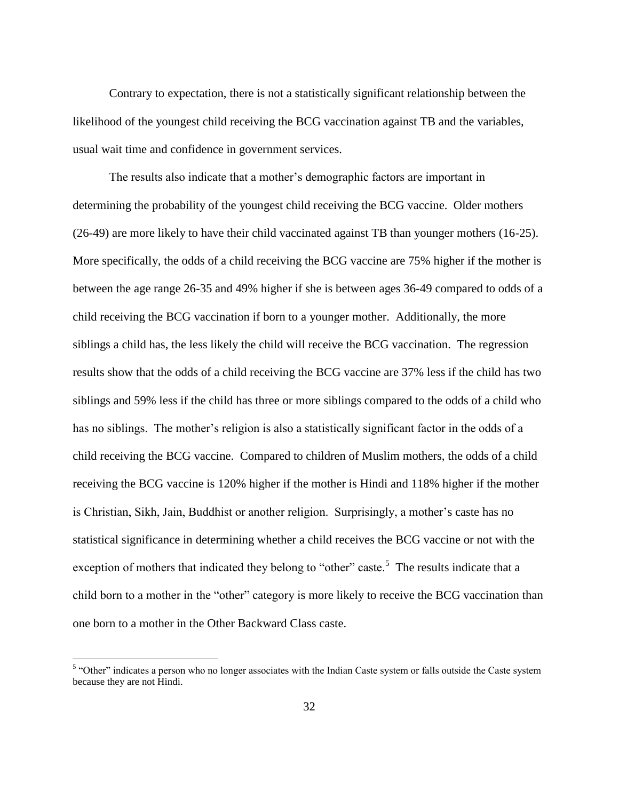Contrary to expectation, there is not a statistically significant relationship between the likelihood of the youngest child receiving the BCG vaccination against TB and the variables, usual wait time and confidence in government services.

The results also indicate that a mother's demographic factors are important in determining the probability of the youngest child receiving the BCG vaccine. Older mothers (26-49) are more likely to have their child vaccinated against TB than younger mothers (16-25). More specifically, the odds of a child receiving the BCG vaccine are 75% higher if the mother is between the age range 26-35 and 49% higher if she is between ages 36-49 compared to odds of a child receiving the BCG vaccination if born to a younger mother. Additionally, the more siblings a child has, the less likely the child will receive the BCG vaccination. The regression results show that the odds of a child receiving the BCG vaccine are 37% less if the child has two siblings and 59% less if the child has three or more siblings compared to the odds of a child who has no siblings. The mother's religion is also a statistically significant factor in the odds of a child receiving the BCG vaccine. Compared to children of Muslim mothers, the odds of a child receiving the BCG vaccine is 120% higher if the mother is Hindi and 118% higher if the mother is Christian, Sikh, Jain, Buddhist or another religion. Surprisingly, a mother's caste has no statistical significance in determining whether a child receives the BCG vaccine or not with the exception of mothers that indicated they belong to "other" caste.<sup>5</sup> The results indicate that a child born to a mother in the "other" category is more likely to receive the BCG vaccination than one born to a mother in the Other Backward Class caste.

 $\overline{a}$ 

<sup>&</sup>lt;sup>5</sup> "Other" indicates a person who no longer associates with the Indian Caste system or falls outside the Caste system because they are not Hindi.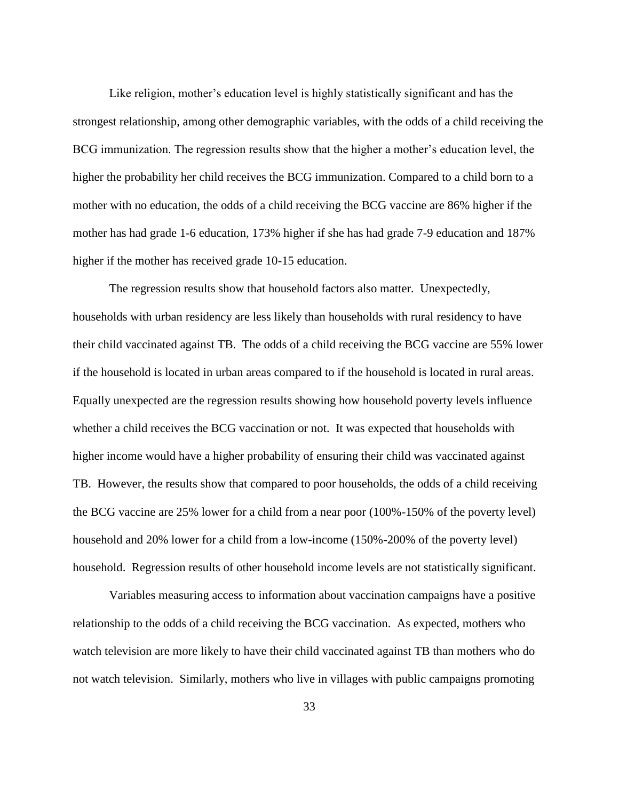Like religion, mother's education level is highly statistically significant and has the strongest relationship, among other demographic variables, with the odds of a child receiving the BCG immunization. The regression results show that the higher a mother's education level, the higher the probability her child receives the BCG immunization. Compared to a child born to a mother with no education, the odds of a child receiving the BCG vaccine are 86% higher if the mother has had grade 1-6 education, 173% higher if she has had grade 7-9 education and 187% higher if the mother has received grade 10-15 education.

The regression results show that household factors also matter. Unexpectedly, households with urban residency are less likely than households with rural residency to have their child vaccinated against TB. The odds of a child receiving the BCG vaccine are 55% lower if the household is located in urban areas compared to if the household is located in rural areas. Equally unexpected are the regression results showing how household poverty levels influence whether a child receives the BCG vaccination or not. It was expected that households with higher income would have a higher probability of ensuring their child was vaccinated against TB. However, the results show that compared to poor households, the odds of a child receiving the BCG vaccine are 25% lower for a child from a near poor (100%-150% of the poverty level) household and 20% lower for a child from a low-income (150%-200% of the poverty level) household. Regression results of other household income levels are not statistically significant.

Variables measuring access to information about vaccination campaigns have a positive relationship to the odds of a child receiving the BCG vaccination. As expected, mothers who watch television are more likely to have their child vaccinated against TB than mothers who do not watch television. Similarly, mothers who live in villages with public campaigns promoting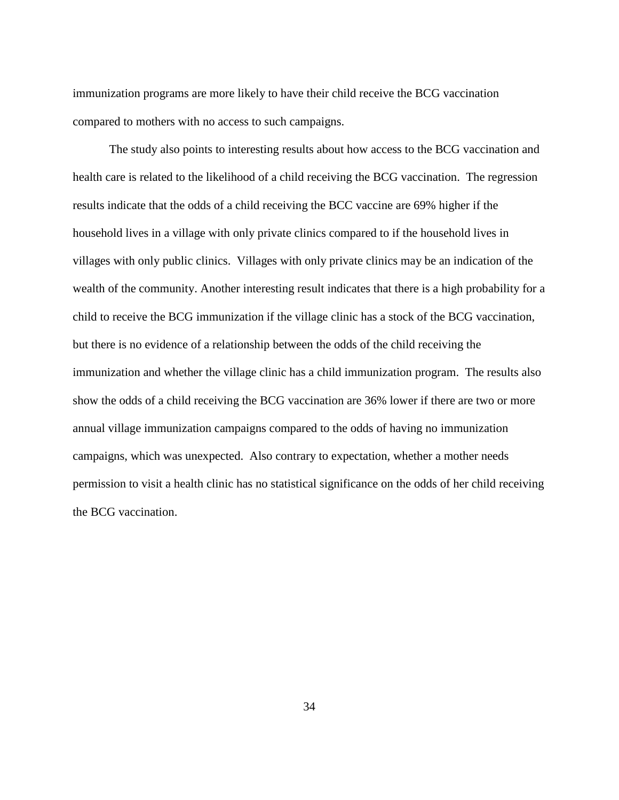immunization programs are more likely to have their child receive the BCG vaccination compared to mothers with no access to such campaigns.

The study also points to interesting results about how access to the BCG vaccination and health care is related to the likelihood of a child receiving the BCG vaccination. The regression results indicate that the odds of a child receiving the BCC vaccine are 69% higher if the household lives in a village with only private clinics compared to if the household lives in villages with only public clinics. Villages with only private clinics may be an indication of the wealth of the community. Another interesting result indicates that there is a high probability for a child to receive the BCG immunization if the village clinic has a stock of the BCG vaccination, but there is no evidence of a relationship between the odds of the child receiving the immunization and whether the village clinic has a child immunization program. The results also show the odds of a child receiving the BCG vaccination are 36% lower if there are two or more annual village immunization campaigns compared to the odds of having no immunization campaigns, which was unexpected. Also contrary to expectation, whether a mother needs permission to visit a health clinic has no statistical significance on the odds of her child receiving the BCG vaccination.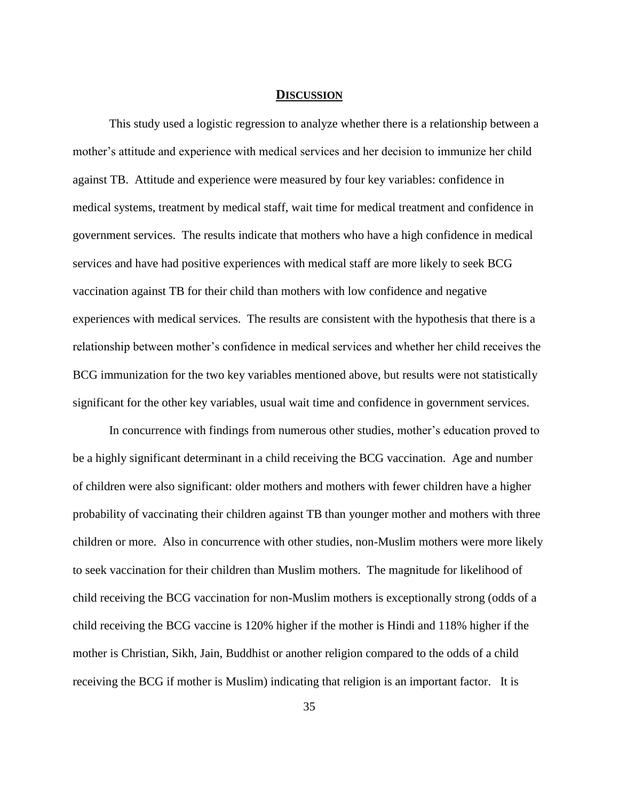#### **DISCUSSION**

This study used a logistic regression to analyze whether there is a relationship between a mother's attitude and experience with medical services and her decision to immunize her child against TB. Attitude and experience were measured by four key variables: confidence in medical systems, treatment by medical staff, wait time for medical treatment and confidence in government services. The results indicate that mothers who have a high confidence in medical services and have had positive experiences with medical staff are more likely to seek BCG vaccination against TB for their child than mothers with low confidence and negative experiences with medical services. The results are consistent with the hypothesis that there is a relationship between mother's confidence in medical services and whether her child receives the BCG immunization for the two key variables mentioned above, but results were not statistically significant for the other key variables, usual wait time and confidence in government services.

In concurrence with findings from numerous other studies, mother's education proved to be a highly significant determinant in a child receiving the BCG vaccination. Age and number of children were also significant: older mothers and mothers with fewer children have a higher probability of vaccinating their children against TB than younger mother and mothers with three children or more. Also in concurrence with other studies, non-Muslim mothers were more likely to seek vaccination for their children than Muslim mothers. The magnitude for likelihood of child receiving the BCG vaccination for non-Muslim mothers is exceptionally strong (odds of a child receiving the BCG vaccine is 120% higher if the mother is Hindi and 118% higher if the mother is Christian, Sikh, Jain, Buddhist or another religion compared to the odds of a child receiving the BCG if mother is Muslim) indicating that religion is an important factor. It is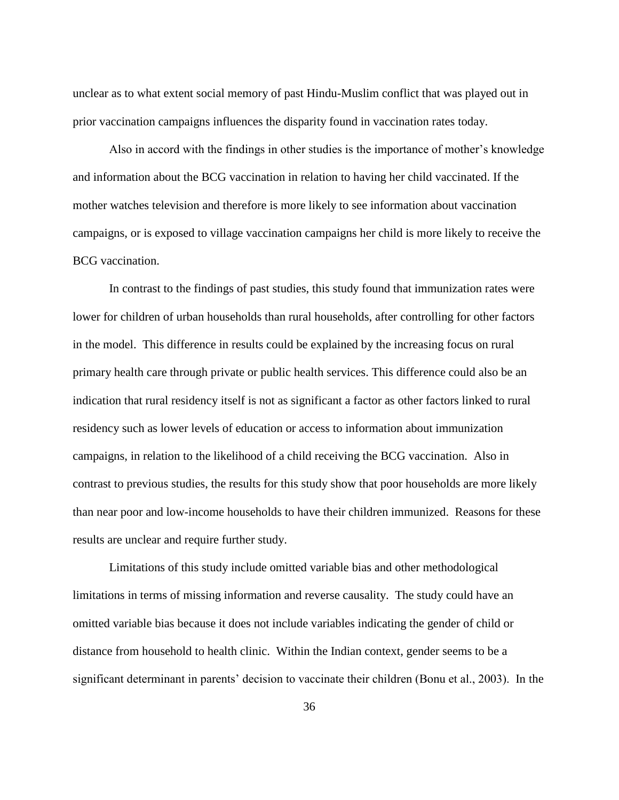unclear as to what extent social memory of past Hindu-Muslim conflict that was played out in prior vaccination campaigns influences the disparity found in vaccination rates today.

Also in accord with the findings in other studies is the importance of mother's knowledge and information about the BCG vaccination in relation to having her child vaccinated. If the mother watches television and therefore is more likely to see information about vaccination campaigns, or is exposed to village vaccination campaigns her child is more likely to receive the BCG vaccination.

In contrast to the findings of past studies, this study found that immunization rates were lower for children of urban households than rural households, after controlling for other factors in the model. This difference in results could be explained by the increasing focus on rural primary health care through private or public health services. This difference could also be an indication that rural residency itself is not as significant a factor as other factors linked to rural residency such as lower levels of education or access to information about immunization campaigns, in relation to the likelihood of a child receiving the BCG vaccination. Also in contrast to previous studies, the results for this study show that poor households are more likely than near poor and low-income households to have their children immunized. Reasons for these results are unclear and require further study.

Limitations of this study include omitted variable bias and other methodological limitations in terms of missing information and reverse causality. The study could have an omitted variable bias because it does not include variables indicating the gender of child or distance from household to health clinic. Within the Indian context, gender seems to be a significant determinant in parents' decision to vaccinate their children (Bonu et al., 2003). In the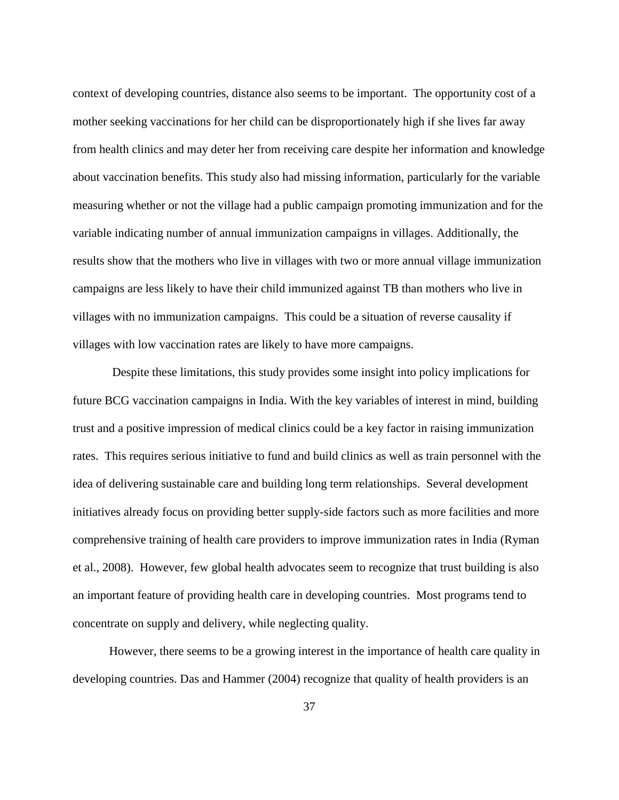context of developing countries, distance also seems to be important. The opportunity cost of a mother seeking vaccinations for her child can be disproportionately high if she lives far away from health clinics and may deter her from receiving care despite her information and knowledge about vaccination benefits. This study also had missing information, particularly for the variable measuring whether or not the village had a public campaign promoting immunization and for the variable indicating number of annual immunization campaigns in villages. Additionally, the results show that the mothers who live in villages with two or more annual village immunization campaigns are less likely to have their child immunized against TB than mothers who live in villages with no immunization campaigns. This could be a situation of reverse causality if villages with low vaccination rates are likely to have more campaigns.

Despite these limitations, this study provides some insight into policy implications for future BCG vaccination campaigns in India. With the key variables of interest in mind, building trust and a positive impression of medical clinics could be a key factor in raising immunization rates. This requires serious initiative to fund and build clinics as well as train personnel with the idea of delivering sustainable care and building long term relationships. Several development initiatives already focus on providing better supply-side factors such as more facilities and more comprehensive training of health care providers to improve immunization rates in India (Ryman et al., 2008). However, few global health advocates seem to recognize that trust building is also an important feature of providing health care in developing countries. Most programs tend to concentrate on supply and delivery, while neglecting quality.

However, there seems to be a growing interest in the importance of health care quality in developing countries. Das and Hammer (2004) recognize that quality of health providers is an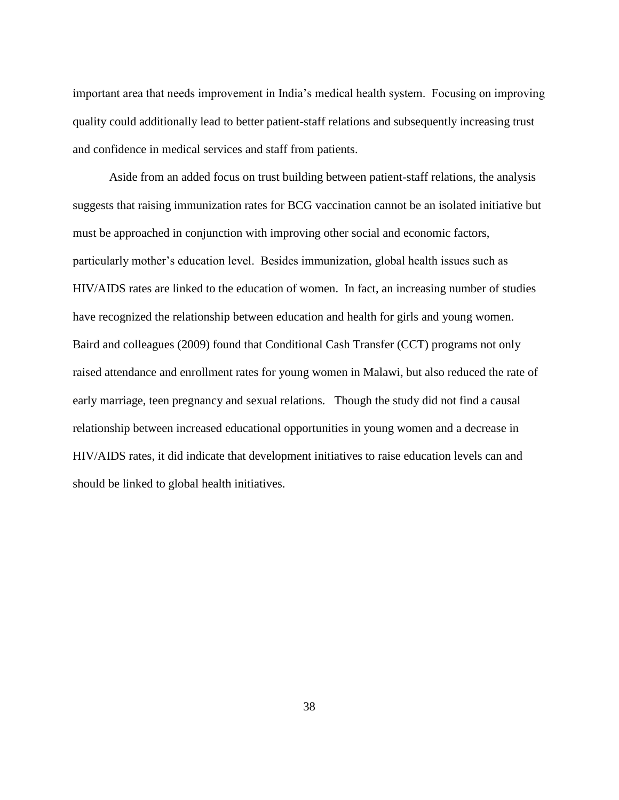important area that needs improvement in India's medical health system. Focusing on improving quality could additionally lead to better patient-staff relations and subsequently increasing trust and confidence in medical services and staff from patients.

Aside from an added focus on trust building between patient-staff relations, the analysis suggests that raising immunization rates for BCG vaccination cannot be an isolated initiative but must be approached in conjunction with improving other social and economic factors, particularly mother's education level. Besides immunization, global health issues such as HIV/AIDS rates are linked to the education of women. In fact, an increasing number of studies have recognized the relationship between education and health for girls and young women. Baird and colleagues (2009) found that Conditional Cash Transfer (CCT) programs not only raised attendance and enrollment rates for young women in Malawi, but also reduced the rate of early marriage, teen pregnancy and sexual relations. Though the study did not find a causal relationship between increased educational opportunities in young women and a decrease in HIV/AIDS rates, it did indicate that development initiatives to raise education levels can and should be linked to global health initiatives.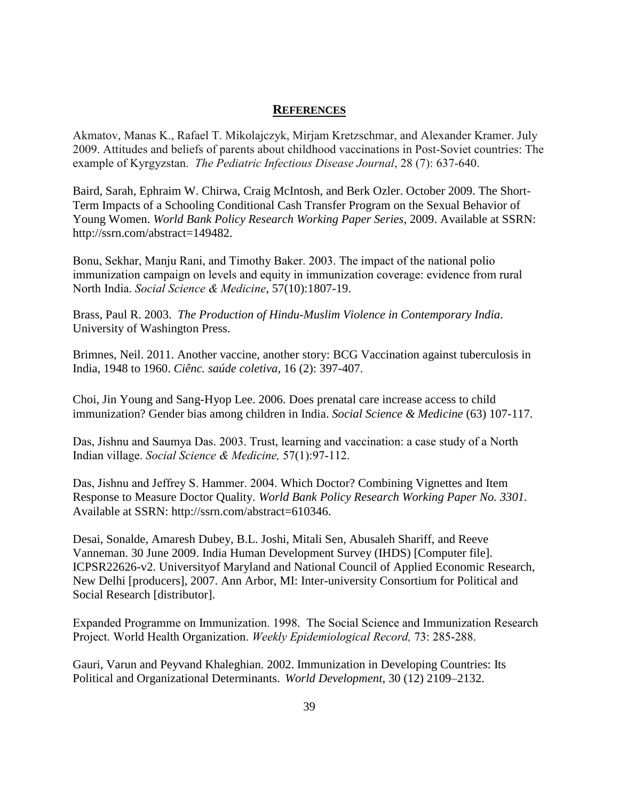## **REFERENCES**

Akmatov, Manas K., Rafael T. Mikolajczyk, Mirjam Kretzschmar, and Alexander Kramer. July 2009. Attitudes and beliefs of parents about childhood vaccinations in Post-Soviet countries: The example of Kyrgyzstan. *The Pediatric Infectious Disease Journal*, 28 (7): 637-640.

Baird, Sarah, Ephraim W. Chirwa, Craig McIntosh, and Berk Ozler. October 2009. The Short-Term Impacts of a Schooling Conditional Cash Transfer Program on the Sexual Behavior of Young Women. *World Bank Policy Research Working Paper Series*, 2009. Available at SSRN: http://ssrn.com/abstract=149482.

Bonu, Sekhar, Manju Rani, and Timothy Baker. 2003. The impact of the national polio immunization campaign on levels and equity in immunization coverage: evidence from rural North India. *Social Science & Medicine*, 57(10):1807-19.

Brass, Paul R. 2003. *The Production of Hindu-Muslim Violence in Contemporary India*. University of Washington Press.

Brimnes, Neil. 2011. Another vaccine, another story: BCG Vaccination against tuberculosis in India, 1948 to 1960. *Ciênc. saúde coletiva*, 16 (2): 397-407.

Choi, Jin Young and Sang-Hyop Lee. 2006. Does prenatal care increase access to child immunization? Gender bias among children in India. *Social Science & Medicine* (63) 107-117.

Das, Jishnu and Saumya Das. 2003. Trust, learning and vaccination: a case study of a North Indian village. *Social Science & Medicine,* 57(1):97-112.

Das, Jishnu and Jeffrey S. Hammer. 2004. Which Doctor? Combining Vignettes and Item Response to Measure Doctor Quality. *World Bank Policy Research Working Paper No. 3301.*  Available at SSRN: http://ssrn.com/abstract=610346.

Desai, Sonalde, Amaresh Dubey, B.L. Joshi, Mitali Sen, Abusaleh Shariff, and Reeve Vanneman. 30 June 2009. India Human Development Survey (IHDS) [Computer file]. ICPSR22626-v2. Universityof Maryland and National Council of Applied Economic Research, New Delhi [producers], 2007. Ann Arbor, MI: Inter-university Consortium for Political and Social Research [distributor].

Expanded Programme on Immunization. 1998. The Social Science and Immunization Research Project. World Health Organization. *Weekly Epidemiological Record,* 73: 285-288.

Gauri, Varun and Peyvand Khaleghian. 2002. Immunization in Developing Countries: Its Political and Organizational Determinants. *World Development*, 30 (12) 2109–2132.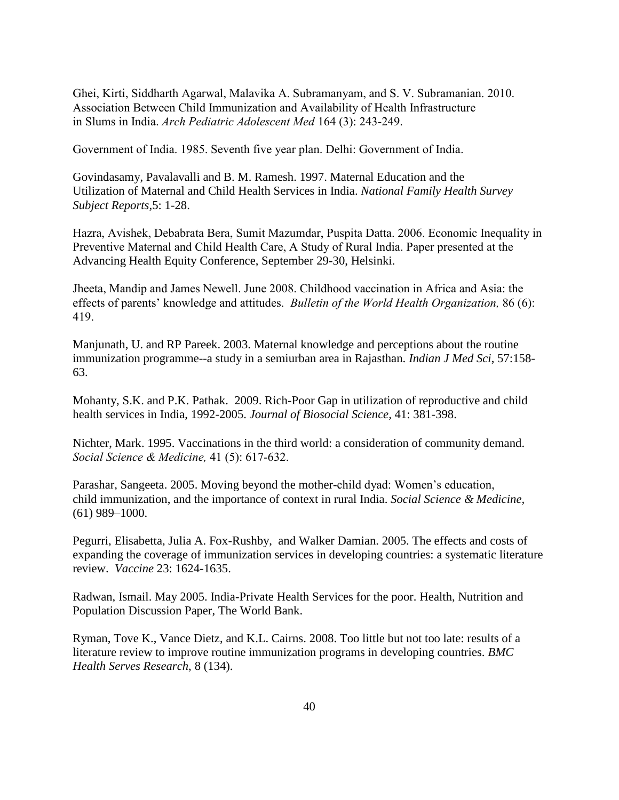Ghei, Kirti, Siddharth Agarwal, Malavika A. Subramanyam, and S. V. Subramanian. 2010. Association Between Child Immunization and Availability of Health Infrastructure in Slums in India. *Arch Pediatric Adolescent Med* 164 (3): 243-249.

Government of India. 1985. Seventh five year plan. Delhi: Government of India.

Govindasamy, Pavalavalli and B. M. Ramesh. 1997. Maternal Education and the Utilization of Maternal and Child Health Services in India. *National Family Health Survey Subject Reports,*5: 1-28.

Hazra, Avishek, Debabrata Bera, Sumit Mazumdar, Puspita Datta. 2006. Economic Inequality in Preventive Maternal and Child Health Care, A Study of Rural India. Paper presented at the Advancing Health Equity Conference, September 29-30, Helsinki.

Jheeta, Mandip and James Newell. June 2008. Childhood vaccination in Africa and Asia: the effects of parents' knowledge and attitudes. *Bulletin of the World Health Organization,* 86 (6): 419.

Manjunath, U. and RP Pareek. 2003. Maternal knowledge and perceptions about the routine immunization programme--a study in a semiurban area in Rajasthan. *Indian J Med Sci*, 57:158- 63.

Mohanty, S.K. and P.K. Pathak. 2009. Rich-Poor Gap in utilization of reproductive and child health services in India, 1992-2005. *Journal of Biosocial Science,* 41: 381-398.

Nichter, Mark. 1995. Vaccinations in the third world: a consideration of community demand. *Social Science & Medicine,* 41 (5): 617-632.

Parashar, Sangeeta. 2005. Moving beyond the mother-child dyad: Women's education, child immunization, and the importance of context in rural India. *Social Science & Medicine,* (61) 989–1000.

Pegurri, Elisabetta, Julia A. Fox-Rushby, and Walker Damian. 2005. The effects and costs of expanding the coverage of immunization services in developing countries: a systematic literature review. *Vaccine* 23: 1624-1635.

Radwan, Ismail. May 2005. India-Private Health Services for the poor. Health, Nutrition and Population Discussion Paper, The World Bank.

Ryman, Tove K., Vance Dietz, and K.L. Cairns. 2008. Too little but not too late: results of a literature review to improve routine immunization programs in developing countries. *BMC Health Serves Research*, 8 (134).